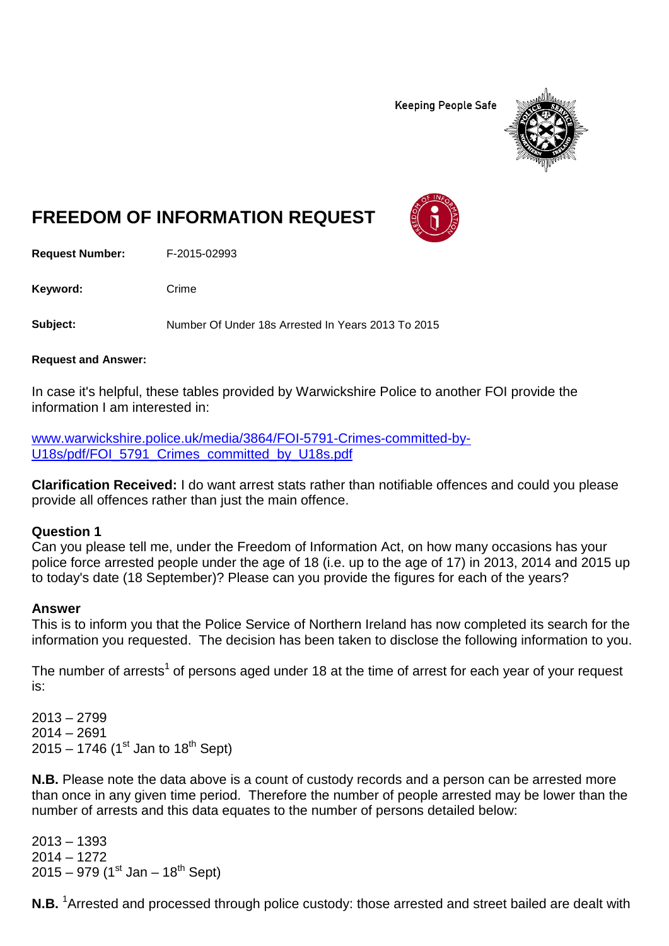**Keeping People Safe** 



# **FREEDOM OF INFORMATION REQUEST**

**Request Number:** F-2015-02993

Keyword: Crime

**Subject:** Number Of Under 18s Arrested In Years 2013 To 2015

**Request and Answer:**

In case it's helpful, these tables provided by Warwickshire Police to another FOI provide the information I am interested in:

[www.warwickshire.police.uk/media/3864/FOI-5791-Crimes-committed-by-](http://www.warwickshire.police.uk/media/3864/FOI-5791-Crimes-committed-by-U18s/pdf/FOI_5791_Crimes_committed_by_U18s.pdf)[U18s/pdf/FOI\\_5791\\_Crimes\\_committed\\_by\\_U18s.pdf](http://www.warwickshire.police.uk/media/3864/FOI-5791-Crimes-committed-by-U18s/pdf/FOI_5791_Crimes_committed_by_U18s.pdf)

**Clarification Received:** I do want arrest stats rather than notifiable offences and could you please provide all offences rather than just the main offence.

### **Question 1**

Can you please tell me, under the Freedom of Information Act, on how many occasions has your police force arrested people under the age of 18 (i.e. up to the age of 17) in 2013, 2014 and 2015 up to today's date (18 September)? Please can you provide the figures for each of the years?

#### **Answer**

This is to inform you that the Police Service of Northern Ireland has now completed its search for the information you requested. The decision has been taken to disclose the following information to you.

The number of arrests<sup>1</sup> of persons aged under 18 at the time of arrest for each year of your request is:

2013 – 2799 2014 – 2691  $2015 - 1746$  (1st Jan to 18<sup>th</sup> Sept)

**N.B.** Please note the data above is a count of custody records and a person can be arrested more than once in any given time period. Therefore the number of people arrested may be lower than the number of arrests and this data equates to the number of persons detailed below:

2013 – 1393 2014 – 1272  $2015 - 979$  (1st Jan – 18<sup>th</sup> Sept)

**N.B.** <sup>1</sup>Arrested and processed through police custody: those arrested and street bailed are dealt with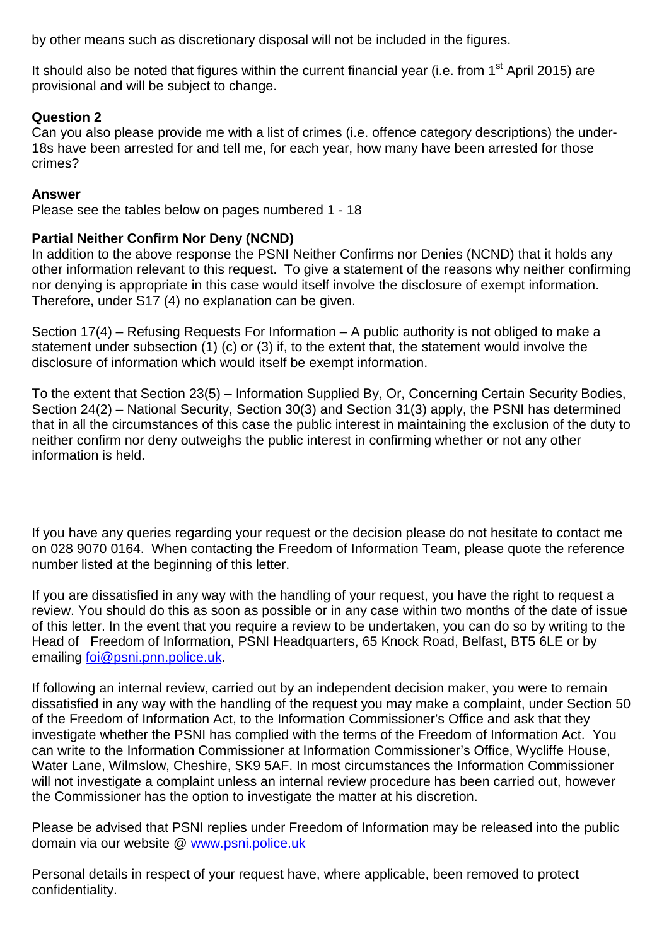by other means such as discretionary disposal will not be included in the figures.

It should also be noted that figures within the current financial year (i.e. from 1<sup>st</sup> April 2015) are provisional and will be subject to change.

# **Question 2**

Can you also please provide me with a list of crimes (i.e. offence category descriptions) the under-18s have been arrested for and tell me, for each year, how many have been arrested for those crimes?

# **Answer**

Please see the tables below on pages numbered 1 - 18

## **Partial Neither Confirm Nor Deny (NCND)**

In addition to the above response the PSNI Neither Confirms nor Denies (NCND) that it holds any other information relevant to this request. To give a statement of the reasons why neither confirming nor denying is appropriate in this case would itself involve the disclosure of exempt information. Therefore, under S17 (4) no explanation can be given.

Section 17(4) – Refusing Requests For Information – A public authority is not obliged to make a statement under subsection (1) (c) or (3) if, to the extent that, the statement would involve the disclosure of information which would itself be exempt information.

To the extent that Section 23(5) – Information Supplied By, Or, Concerning Certain Security Bodies, Section 24(2) – National Security, Section 30(3) and Section 31(3) apply, the PSNI has determined that in all the circumstances of this case the public interest in maintaining the exclusion of the duty to neither confirm nor deny outweighs the public interest in confirming whether or not any other information is held.

If you have any queries regarding your request or the decision please do not hesitate to contact me on 028 9070 0164. When contacting the Freedom of Information Team, please quote the reference number listed at the beginning of this letter.

If you are dissatisfied in any way with the handling of your request, you have the right to request a review. You should do this as soon as possible or in any case within two months of the date of issue of this letter. In the event that you require a review to be undertaken, you can do so by writing to the Head of Freedom of Information, PSNI Headquarters, 65 Knock Road, Belfast, BT5 6LE or by emailing [foi@psni.pnn.police.uk.](mailto:foi@psni.pnn.police.uk)

If following an internal review, carried out by an independent decision maker, you were to remain dissatisfied in any way with the handling of the request you may make a complaint, under Section 50 of the Freedom of Information Act, to the Information Commissioner's Office and ask that they investigate whether the PSNI has complied with the terms of the Freedom of Information Act. You can write to the Information Commissioner at Information Commissioner's Office, Wycliffe House, Water Lane, Wilmslow, Cheshire, SK9 5AF. In most circumstances the Information Commissioner will not investigate a complaint unless an internal review procedure has been carried out, however the Commissioner has the option to investigate the matter at his discretion.

Please be advised that PSNI replies under Freedom of Information may be released into the public domain via our website @ [www.psni.police.uk](http://www.psni.police.uk/)

Personal details in respect of your request have, where applicable, been removed to protect confidentiality.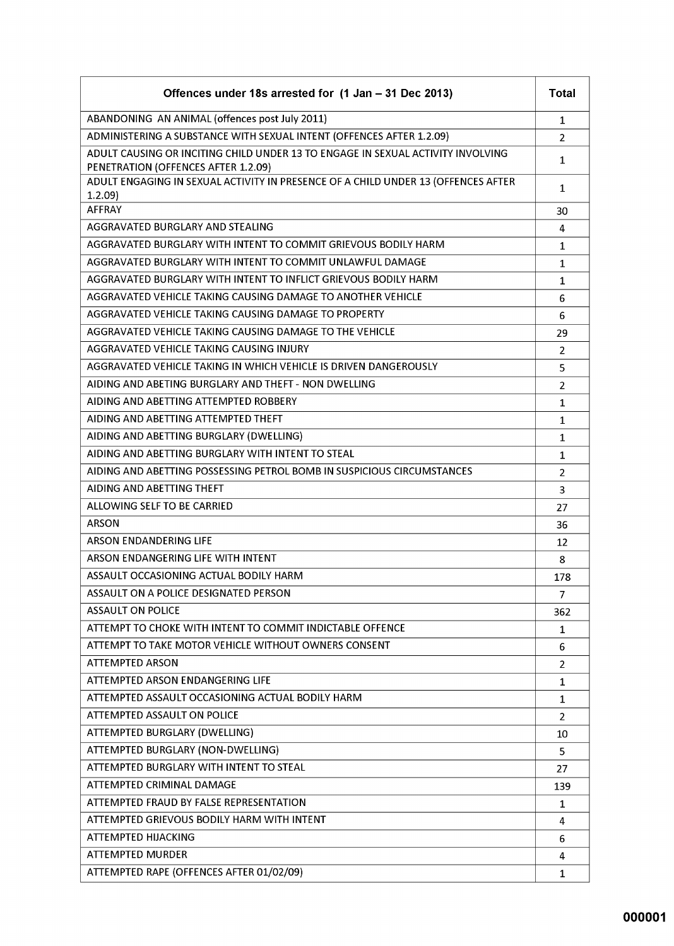| Offences under 18s arrested for (1 Jan - 31 Dec 2013)                                                                  | <b>Total</b>   |
|------------------------------------------------------------------------------------------------------------------------|----------------|
| ABANDONING AN ANIMAL (offences post July 2011)                                                                         | 1              |
| ADMINISTERING A SUBSTANCE WITH SEXUAL INTENT (OFFENCES AFTER 1.2.09)                                                   | $\overline{2}$ |
| ADULT CAUSING OR INCITING CHILD UNDER 13 TO ENGAGE IN SEXUAL ACTIVITY INVOLVING<br>PENETRATION (OFFENCES AFTER 1.2.09) | $\mathbf{1}$   |
| ADULT ENGAGING IN SEXUAL ACTIVITY IN PRESENCE OF A CHILD UNDER 13 (OFFENCES AFTER<br>1.2.09                            | 1              |
| <b>AFFRAY</b>                                                                                                          | 30             |
| AGGRAVATED BURGLARY AND STEALING                                                                                       | 4              |
| AGGRAVATED BURGLARY WITH INTENT TO COMMIT GRIEVOUS BODILY HARM                                                         | $\mathbf{1}$   |
| AGGRAVATED BURGLARY WITH INTENT TO COMMIT UNLAWFUL DAMAGE                                                              | 1              |
| AGGRAVATED BURGLARY WITH INTENT TO INFLICT GRIEVOUS BODILY HARM                                                        | $\mathbf{1}$   |
| AGGRAVATED VEHICLE TAKING CAUSING DAMAGE TO ANOTHER VEHICLE                                                            | 6              |
| AGGRAVATED VEHICLE TAKING CAUSING DAMAGE TO PROPERTY                                                                   | 6              |
| AGGRAVATED VEHICLE TAKING CAUSING DAMAGE TO THE VEHICLE                                                                | 29             |
| AGGRAVATED VEHICLE TAKING CAUSING INJURY                                                                               | 2              |
| AGGRAVATED VEHICLE TAKING IN WHICH VEHICLE IS DRIVEN DANGEROUSLY                                                       | 5              |
| AIDING AND ABETING BURGLARY AND THEFT - NON DWELLING                                                                   | $\overline{2}$ |
| AIDING AND ABETTING ATTEMPTED ROBBERY                                                                                  | $\mathbf{1}$   |
| AIDING AND ABETTING ATTEMPTED THEFT                                                                                    | $\mathbf{1}$   |
| AIDING AND ABETTING BURGLARY (DWELLING)                                                                                | $\mathbf{1}$   |
| AIDING AND ABETTING BURGLARY WITH INTENT TO STEAL                                                                      | $\mathbf{1}$   |
| AIDING AND ABETTING POSSESSING PETROL BOMB IN SUSPICIOUS CIRCUMSTANCES                                                 | $\overline{2}$ |
| AIDING AND ABETTING THEFT                                                                                              | 3              |
| ALLOWING SELF TO BE CARRIED                                                                                            | 27             |
| <b>ARSON</b>                                                                                                           | 36             |
| ARSON ENDANDERING LIFE                                                                                                 | 12             |
| ARSON ENDANGERING LIFE WITH INTENT                                                                                     | 8              |
| ASSAULT OCCASIONING ACTUAL BODILY HARM                                                                                 | 178            |
| ASSAULT ON A POLICE DESIGNATED PERSON                                                                                  | 7              |
| <b>ASSAULT ON POLICE</b>                                                                                               | 362            |
| ATTEMPT TO CHOKE WITH INTENT TO COMMIT INDICTABLE OFFENCE                                                              | $\mathbf{1}$   |
| ATTEMPT TO TAKE MOTOR VEHICLE WITHOUT OWNERS CONSENT                                                                   | 6              |
| <b>ATTEMPTED ARSON</b>                                                                                                 | $\overline{2}$ |
| ATTEMPTED ARSON ENDANGERING LIFE                                                                                       | 1              |
| ATTEMPTED ASSAULT OCCASIONING ACTUAL BODILY HARM                                                                       | 1              |
| ATTEMPTED ASSAULT ON POLICE                                                                                            | $\overline{2}$ |
| ATTEMPTED BURGLARY (DWELLING)                                                                                          | 10             |
| ATTEMPTED BURGLARY (NON-DWELLING)                                                                                      | 5              |
| ATTEMPTED BURGLARY WITH INTENT TO STEAL                                                                                | 27             |
| ATTEMPTED CRIMINAL DAMAGE                                                                                              | 139            |
| ATTEMPTED FRAUD BY FALSE REPRESENTATION                                                                                | $\mathbf{1}$   |
| ATTEMPTED GRIEVOUS BODILY HARM WITH INTENT                                                                             | 4              |
| <b>ATTEMPTED HIJACKING</b>                                                                                             | 6              |
| <b>ATTEMPTED MURDER</b>                                                                                                | 4              |
| ATTEMPTED RAPE (OFFENCES AFTER 01/02/09)                                                                               | 1              |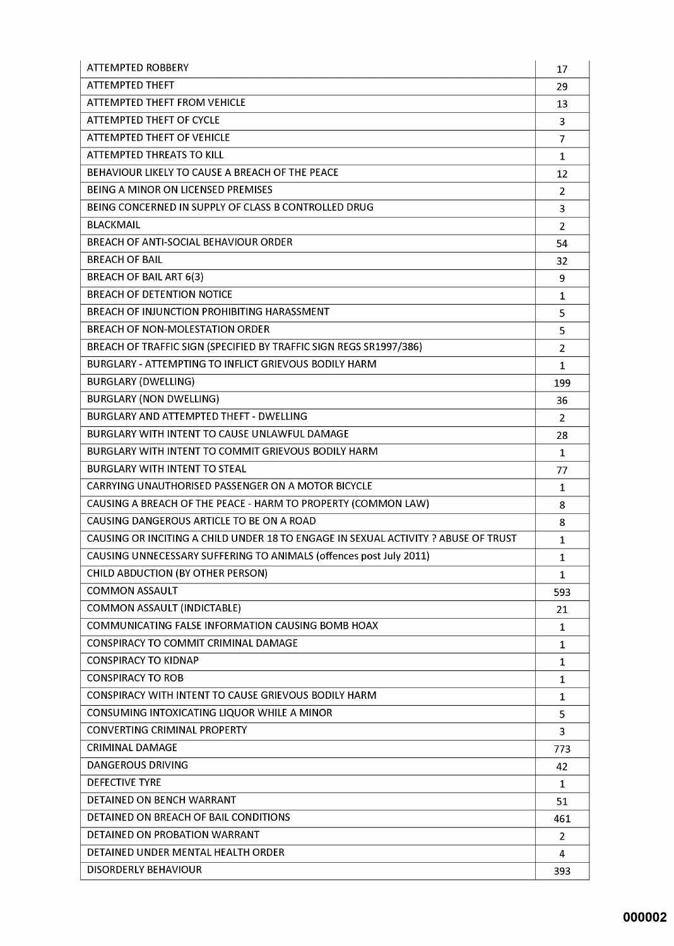| <b>ATTEMPTED ROBBERY</b>                                                           | 17             |
|------------------------------------------------------------------------------------|----------------|
| ATTEMPTED THEFT                                                                    | 29             |
| <b>ATTEMPTED THEFT FROM VEHICLE</b>                                                | 13             |
| <b>ATTEMPTED THEFT OF CYCLE</b>                                                    | 3              |
| <b>ATTEMPTED THEFT OF VEHICLE</b>                                                  | 7              |
| ATTEMPTED THREATS TO KILL                                                          | $\mathbf{1}$   |
| BEHAVIOUR LIKELY TO CAUSE A BREACH OF THE PEACE                                    | 12             |
| BEING A MINOR ON LICENSED PREMISES                                                 | $\overline{2}$ |
| BEING CONCERNED IN SUPPLY OF CLASS B CONTROLLED DRUG                               | 3              |
| <b>BLACKMAIL</b>                                                                   | $\overline{2}$ |
| <b>BREACH OF ANTI-SOCIAL BEHAVIOUR ORDER</b>                                       | 54             |
| <b>BREACH OF BAIL</b>                                                              | 32             |
| <b>BREACH OF BAIL ART 6(3)</b>                                                     | 9              |
| <b>BREACH OF DETENTION NOTICE</b>                                                  | $\mathbf{1}$   |
| BREACH OF INJUNCTION PROHIBITING HARASSMENT                                        | 5              |
| BREACH OF NON-MOLESTATION ORDER                                                    | 5              |
| BREACH OF TRAFFIC SIGN (SPECIFIED BY TRAFFIC SIGN REGS SR1997/386)                 | $\overline{2}$ |
| BURGLARY - ATTEMPTING TO INFLICT GRIEVOUS BODILY HARM                              | 1              |
| <b>BURGLARY (DWELLING)</b>                                                         | 199            |
| <b>BURGLARY (NON DWELLING)</b>                                                     | 36             |
| <b>BURGLARY AND ATTEMPTED THEFT - DWELLING</b>                                     | 2              |
| BURGLARY WITH INTENT TO CAUSE UNLAWFUL DAMAGE                                      | 28             |
| BURGLARY WITH INTENT TO COMMIT GRIEVOUS BODILY HARM                                | $\mathbf{1}$   |
| <b>BURGLARY WITH INTENT TO STEAL</b>                                               | 77             |
| CARRYING UNAUTHORISED PASSENGER ON A MOTOR BICYCLE                                 | 1              |
| CAUSING A BREACH OF THE PEACE - HARM TO PROPERTY (COMMON LAW)                      | 8              |
| CAUSING DANGEROUS ARTICLE TO BE ON A ROAD                                          | 8              |
| CAUSING OR INCITING A CHILD UNDER 18 TO ENGAGE IN SEXUAL ACTIVITY ? ABUSE OF TRUST | $\mathbf 1$    |
| CAUSING UNNECESSARY SUFFERING TO ANIMALS (offences post July 2011)                 | $\mathbf{1}$   |
| CHILD ABDUCTION (BY OTHER PERSON)                                                  | 1              |
| <b>COMMON ASSAULT</b>                                                              | 593            |
| <b>COMMON ASSAULT (INDICTABLE)</b>                                                 | 21             |
| COMMUNICATING FALSE INFORMATION CAUSING BOMB HOAX                                  | 1              |
| CONSPIRACY TO COMMIT CRIMINAL DAMAGE                                               | $\mathbf{1}$   |
| <b>CONSPIRACY TO KIDNAP</b>                                                        | $\mathbf{1}$   |
| <b>CONSPIRACY TO ROB</b>                                                           | 1              |
| CONSPIRACY WITH INTENT TO CAUSE GRIEVOUS BODILY HARM                               | 1              |
| CONSUMING INTOXICATING LIQUOR WHILE A MINOR                                        | 5              |
| <b>CONVERTING CRIMINAL PROPERTY</b>                                                | 3              |
| <b>CRIMINAL DAMAGE</b>                                                             | 773            |
| <b>DANGEROUS DRIVING</b>                                                           | 42             |
| <b>DEFECTIVE TYRE</b>                                                              | 1              |
| DETAINED ON BENCH WARRANT                                                          | 51             |
| DETAINED ON BREACH OF BAIL CONDITIONS                                              | 461            |
| DETAINED ON PROBATION WARRANT                                                      | $\overline{2}$ |
| DETAINED UNDER MENTAL HEALTH ORDER                                                 | 4              |
| <b>DISORDERLY BEHAVIOUR</b>                                                        | 393            |
|                                                                                    |                |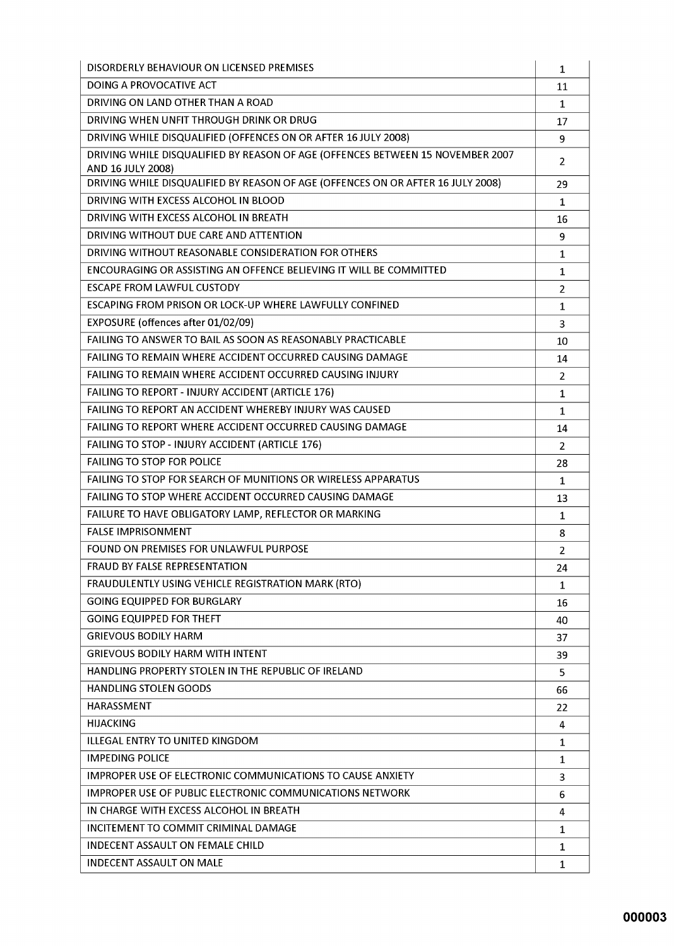| DISORDERLY BEHAVIOUR ON LICENSED PREMISES                                                           | 1              |
|-----------------------------------------------------------------------------------------------------|----------------|
| DOING A PROVOCATIVE ACT                                                                             | 11             |
| DRIVING ON LAND OTHER THAN A ROAD                                                                   | $\mathbf{1}$   |
| DRIVING WHEN UNFIT THROUGH DRINK OR DRUG                                                            | 17             |
| DRIVING WHILE DISQUALIFIED (OFFENCES ON OR AFTER 16 JULY 2008)                                      | 9              |
| DRIVING WHILE DISQUALIFIED BY REASON OF AGE (OFFENCES BETWEEN 15 NOVEMBER 2007<br>AND 16 JULY 2008) | 2              |
| DRIVING WHILE DISQUALIFIED BY REASON OF AGE (OFFENCES ON OR AFTER 16 JULY 2008)                     | 29             |
| DRIVING WITH EXCESS ALCOHOL IN BLOOD                                                                | 1              |
| DRIVING WITH EXCESS ALCOHOL IN BREATH                                                               | 16             |
| DRIVING WITHOUT DUE CARE AND ATTENTION                                                              | 9              |
| DRIVING WITHOUT REASONABLE CONSIDERATION FOR OTHERS                                                 | $\mathbf 1$    |
| ENCOURAGING OR ASSISTING AN OFFENCE BELIEVING IT WILL BE COMMITTED                                  | $\mathbf{1}$   |
| <b>ESCAPE FROM LAWFUL CUSTODY</b>                                                                   | $\overline{2}$ |
| ESCAPING FROM PRISON OR LOCK-UP WHERE LAWFULLY CONFINED                                             | $\mathbf{1}$   |
| EXPOSURE (offences after 01/02/09)                                                                  | 3              |
| FAILING TO ANSWER TO BAIL AS SOON AS REASONABLY PRACTICABLE                                         | 10             |
| <b>FAILING TO REMAIN WHERE ACCIDENT OCCURRED CAUSING DAMAGE</b>                                     | 14             |
| FAILING TO REMAIN WHERE ACCIDENT OCCURRED CAUSING INJURY                                            | 2              |
| FAILING TO REPORT - INJURY ACCIDENT (ARTICLE 176)                                                   | $\mathbf{1}$   |
| FAILING TO REPORT AN ACCIDENT WHEREBY INJURY WAS CAUSED                                             | $\mathbf{1}$   |
| FAILING TO REPORT WHERE ACCIDENT OCCURRED CAUSING DAMAGE                                            | 14             |
| FAILING TO STOP - INJURY ACCIDENT (ARTICLE 176)                                                     | 2              |
| <b>FAILING TO STOP FOR POLICE</b>                                                                   | 28             |
| <b>FAILING TO STOP FOR SEARCH OF MUNITIONS OR WIRELESS APPARATUS</b>                                | 1              |
| FAILING TO STOP WHERE ACCIDENT OCCURRED CAUSING DAMAGE                                              | 13             |
| FAILURE TO HAVE OBLIGATORY LAMP, REFLECTOR OR MARKING                                               | $\mathbf{1}$   |
| <b>FALSE IMPRISONMENT</b>                                                                           | 8              |
| FOUND ON PREMISES FOR UNLAWFUL PURPOSE                                                              | $\overline{2}$ |
| FRAUD BY FALSE REPRESENTATION                                                                       | 24             |
| FRAUDULENTLY USING VEHICLE REGISTRATION MARK (RTO)                                                  | 1              |
| <b>GOING EQUIPPED FOR BURGLARY</b>                                                                  | 16             |
| <b>GOING EQUIPPED FOR THEFT</b>                                                                     | 40             |
| <b>GRIEVOUS BODILY HARM</b>                                                                         | 37             |
| <b>GRIEVOUS BODILY HARM WITH INTENT</b>                                                             | 39             |
| HANDLING PROPERTY STOLEN IN THE REPUBLIC OF IRELAND                                                 | 5              |
| <b>HANDLING STOLEN GOODS</b>                                                                        | 66             |
| <b>HARASSMENT</b>                                                                                   | 22             |
| <b>HIJACKING</b>                                                                                    | 4              |
| <b>ILLEGAL ENTRY TO UNITED KINGDOM</b>                                                              | $\mathbf{1}$   |
| <b>IMPEDING POLICE</b>                                                                              | $\mathbf 1$    |
| <b>IMPROPER USE OF ELECTRONIC COMMUNICATIONS TO CAUSE ANXIETY</b>                                   | 3              |
| <b>IMPROPER USE OF PUBLIC ELECTRONIC COMMUNICATIONS NETWORK</b>                                     | 6              |
| IN CHARGE WITH EXCESS ALCOHOL IN BREATH                                                             | 4              |
| INCITEMENT TO COMMIT CRIMINAL DAMAGE                                                                | 1              |
| <b>INDECENT ASSAULT ON FEMALE CHILD</b>                                                             | 1              |
| <b>INDECENT ASSAULT ON MALE</b>                                                                     | 1              |
|                                                                                                     |                |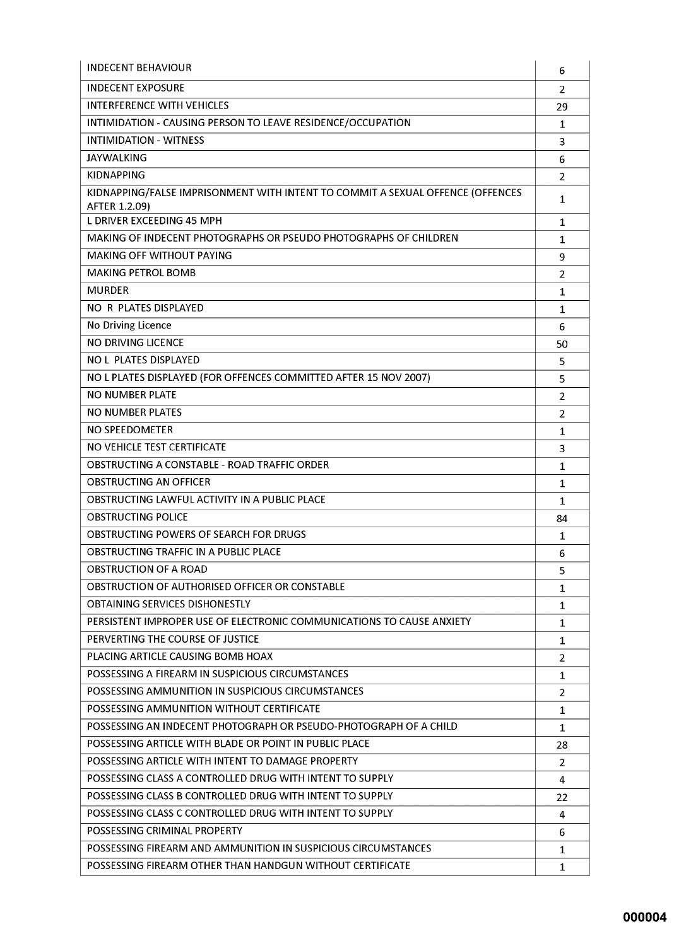| <b>INDECENT BEHAVIOUR</b>                                                      | 6                   |
|--------------------------------------------------------------------------------|---------------------|
| <b>INDECENT EXPOSURE</b>                                                       | $\overline{2}$      |
| <b>INTERFERENCE WITH VEHICLES</b>                                              | 29                  |
| INTIMIDATION - CAUSING PERSON TO LEAVE RESIDENCE/OCCUPATION                    | $\mathbf{1}$        |
| <b>INTIMIDATION - WITNESS</b>                                                  | 3                   |
| <b>JAYWALKING</b>                                                              | 6                   |
| <b>KIDNAPPING</b>                                                              | $\overline{2}$      |
| KIDNAPPING/FALSE IMPRISONMENT WITH INTENT TO COMMIT A SEXUAL OFFENCE (OFFENCES | $\mathbf{1}$        |
| AFTER 1.2.09)<br><b>L DRIVER EXCEEDING 45 MPH</b>                              |                     |
| MAKING OF INDECENT PHOTOGRAPHS OR PSEUDO PHOTOGRAPHS OF CHILDREN               | $\mathbf{1}$        |
| <b>MAKING OFF WITHOUT PAYING</b>                                               | $\mathbf{1}$        |
| <b>MAKING PETROL BOMB</b>                                                      | 9<br>$\overline{2}$ |
| <b>MURDER</b>                                                                  | $\mathbf{1}$        |
| NO R PLATES DISPLAYED                                                          | $\mathbf{1}$        |
| No Driving Licence                                                             | 6                   |
| NO DRIVING LICENCE                                                             | 50                  |
| <b>NO L PLATES DISPLAYED</b>                                                   | 5                   |
| NO L PLATES DISPLAYED (FOR OFFENCES COMMITTED AFTER 15 NOV 2007)               | 5                   |
| <b>NO NUMBER PLATE</b>                                                         | $\overline{2}$      |
| <b>NO NUMBER PLATES</b>                                                        | $\overline{2}$      |
| <b>NO SPEEDOMETER</b>                                                          | $\mathbf{1}$        |
| NO VEHICLE TEST CERTIFICATE                                                    | 3                   |
| OBSTRUCTING A CONSTABLE - ROAD TRAFFIC ORDER                                   | $\mathbf{1}$        |
| <b>OBSTRUCTING AN OFFICER</b>                                                  | $\mathbf{1}$        |
| OBSTRUCTING LAWFUL ACTIVITY IN A PUBLIC PLACE                                  | $\mathbf{1}$        |
| <b>OBSTRUCTING POLICE</b>                                                      | 84                  |
| <b>OBSTRUCTING POWERS OF SEARCH FOR DRUGS</b>                                  | $\mathbf{1}$        |
| OBSTRUCTING TRAFFIC IN A PUBLIC PLACE                                          | 6                   |
| <b>OBSTRUCTION OF A ROAD</b>                                                   | 5                   |
| OBSTRUCTION OF AUTHORISED OFFICER OR CONSTABLE                                 | 1                   |
| <b>OBTAINING SERVICES DISHONESTLY</b>                                          | 1                   |
| PERSISTENT IMPROPER USE OF ELECTRONIC COMMUNICATIONS TO CAUSE ANXIETY          | 1                   |
| PERVERTING THE COURSE OF JUSTICE                                               | 1                   |
| PLACING ARTICLE CAUSING BOMB HOAX                                              | $\overline{2}$      |
| POSSESSING A FIREARM IN SUSPICIOUS CIRCUMSTANCES                               | 1                   |
| POSSESSING AMMUNITION IN SUSPICIOUS CIRCUMSTANCES                              | $\overline{2}$      |
| POSSESSING AMMUNITION WITHOUT CERTIFICATE                                      | $\mathbf{1}$        |
| POSSESSING AN INDECENT PHOTOGRAPH OR PSEUDO-PHOTOGRAPH OF A CHILD              | $\mathbf{1}$        |
| POSSESSING ARTICLE WITH BLADE OR POINT IN PUBLIC PLACE                         | 28                  |
| POSSESSING ARTICLE WITH INTENT TO DAMAGE PROPERTY                              | $\overline{2}$      |
| POSSESSING CLASS A CONTROLLED DRUG WITH INTENT TO SUPPLY                       | 4                   |
| POSSESSING CLASS B CONTROLLED DRUG WITH INTENT TO SUPPLY                       | 22                  |
| POSSESSING CLASS C CONTROLLED DRUG WITH INTENT TO SUPPLY                       | 4                   |
| POSSESSING CRIMINAL PROPERTY                                                   | 6                   |
| POSSESSING FIREARM AND AMMUNITION IN SUSPICIOUS CIRCUMSTANCES                  | 1                   |
| POSSESSING FIREARM OTHER THAN HANDGUN WITHOUT CERTIFICATE                      | 1                   |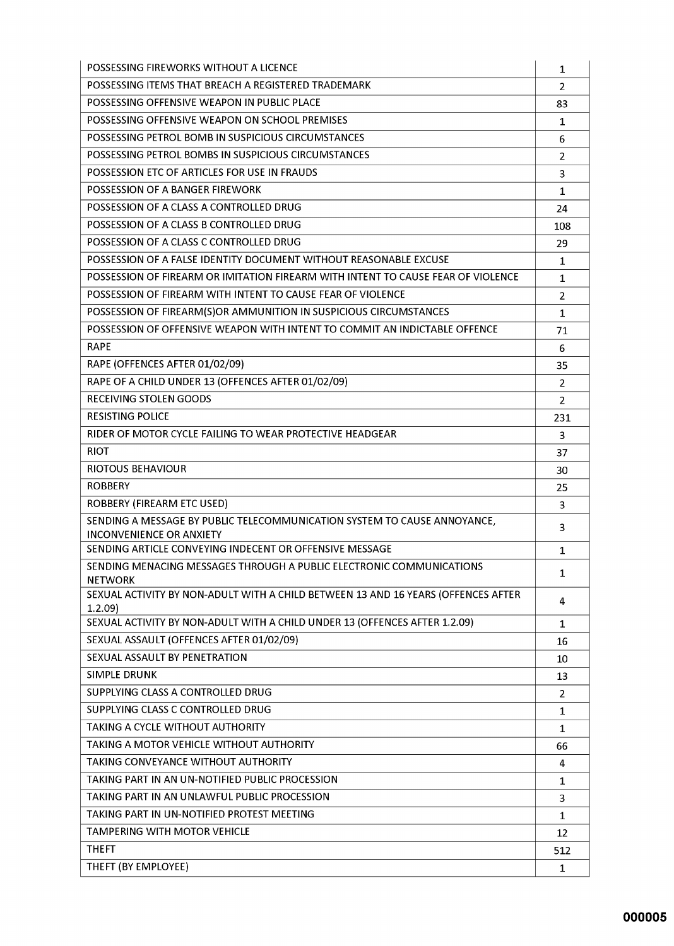| POSSESSING FIREWORKS WITHOUT A LICENCE                                                      | 1              |
|---------------------------------------------------------------------------------------------|----------------|
| POSSESSING ITEMS THAT BREACH A REGISTERED TRADEMARK                                         | $\overline{2}$ |
| POSSESSING OFFENSIVE WEAPON IN PUBLIC PLACE                                                 | 83             |
| POSSESSING OFFENSIVE WEAPON ON SCHOOL PREMISES                                              | 1              |
| POSSESSING PETROL BOMB IN SUSPICIOUS CIRCUMSTANCES                                          | 6              |
| POSSESSING PETROL BOMBS IN SUSPICIOUS CIRCUMSTANCES                                         | $\overline{2}$ |
| POSSESSION ETC OF ARTICLES FOR USE IN FRAUDS                                                | 3              |
| POSSESSION OF A BANGER FIREWORK                                                             | $\mathbf{1}$   |
| POSSESSION OF A CLASS A CONTROLLED DRUG                                                     | 24             |
| POSSESSION OF A CLASS B CONTROLLED DRUG                                                     | 108            |
| POSSESSION OF A CLASS C CONTROLLED DRUG                                                     | 29             |
| POSSESSION OF A FALSE IDENTITY DOCUMENT WITHOUT REASONABLE EXCUSE                           | $\mathbf{1}$   |
| POSSESSION OF FIREARM OR IMITATION FIREARM WITH INTENT TO CAUSE FEAR OF VIOLENCE            | 1              |
| POSSESSION OF FIREARM WITH INTENT TO CAUSE FEAR OF VIOLENCE                                 | $\overline{2}$ |
| POSSESSION OF FIREARM(S)OR AMMUNITION IN SUSPICIOUS CIRCUMSTANCES                           | $\mathbf{1}$   |
| POSSESSION OF OFFENSIVE WEAPON WITH INTENT TO COMMIT AN INDICTABLE OFFENCE                  | 71             |
| <b>RAPE</b>                                                                                 | 6              |
| RAPE (OFFENCES AFTER 01/02/09)                                                              | 35             |
| RAPE OF A CHILD UNDER 13 (OFFENCES AFTER 01/02/09)                                          | $\overline{2}$ |
| RECEIVING STOLEN GOODS                                                                      | $\overline{2}$ |
| <b>RESISTING POLICE</b>                                                                     | 231            |
| RIDER OF MOTOR CYCLE FAILING TO WEAR PROTECTIVE HEADGEAR                                    | 3              |
| <b>RIOT</b>                                                                                 | 37             |
| RIOTOUS BEHAVIOUR                                                                           | 30             |
| <b>ROBBERY</b>                                                                              | 25             |
| ROBBERY (FIREARM ETC USED)                                                                  | 3              |
| SENDING A MESSAGE BY PUBLIC TELECOMMUNICATION SYSTEM TO CAUSE ANNOYANCE,                    | 3              |
| <b>INCONVENIENCE OR ANXIETY</b>                                                             |                |
| SENDING ARTICLE CONVEYING INDECENT OR OFFENSIVE MESSAGE                                     | $\mathbf{1}$   |
| SENDING MENACING MESSAGES THROUGH A PUBLIC ELECTRONIC COMMUNICATIONS<br><b>NETWORK</b>      | $\mathbf 1$    |
| SEXUAL ACTIVITY BY NON-ADULT WITH A CHILD BETWEEN 13 AND 16 YEARS (OFFENCES AFTER<br>1.2.09 | 4              |
| SEXUAL ACTIVITY BY NON-ADULT WITH A CHILD UNDER 13 (OFFENCES AFTER 1.2.09)                  | $\mathbf 1$    |
| SEXUAL ASSAULT (OFFENCES AFTER 01/02/09)                                                    | 16             |
| SEXUAL ASSAULT BY PENETRATION                                                               | 10             |
| <b>SIMPLE DRUNK</b>                                                                         | 13             |
| SUPPLYING CLASS A CONTROLLED DRUG                                                           | $\overline{2}$ |
| SUPPLYING CLASS C CONTROLLED DRUG                                                           | $\mathbf{1}$   |
| TAKING A CYCLE WITHOUT AUTHORITY                                                            | 1              |
| TAKING A MOTOR VEHICLE WITHOUT AUTHORITY                                                    | 66             |
| TAKING CONVEYANCE WITHOUT AUTHORITY                                                         | 4              |
| TAKING PART IN AN UN-NOTIFIED PUBLIC PROCESSION                                             | $\mathbf{1}$   |
| TAKING PART IN AN UNLAWFUL PUBLIC PROCESSION                                                | 3              |
| TAKING PART IN UN-NOTIFIED PROTEST MEETING                                                  | $\mathbf{1}$   |
| <b>TAMPERING WITH MOTOR VEHICLE</b>                                                         | 12             |
| <b>THEFT</b>                                                                                | 512            |
| THEFT (BY EMPLOYEE)                                                                         | $\mathbf{1}$   |
|                                                                                             |                |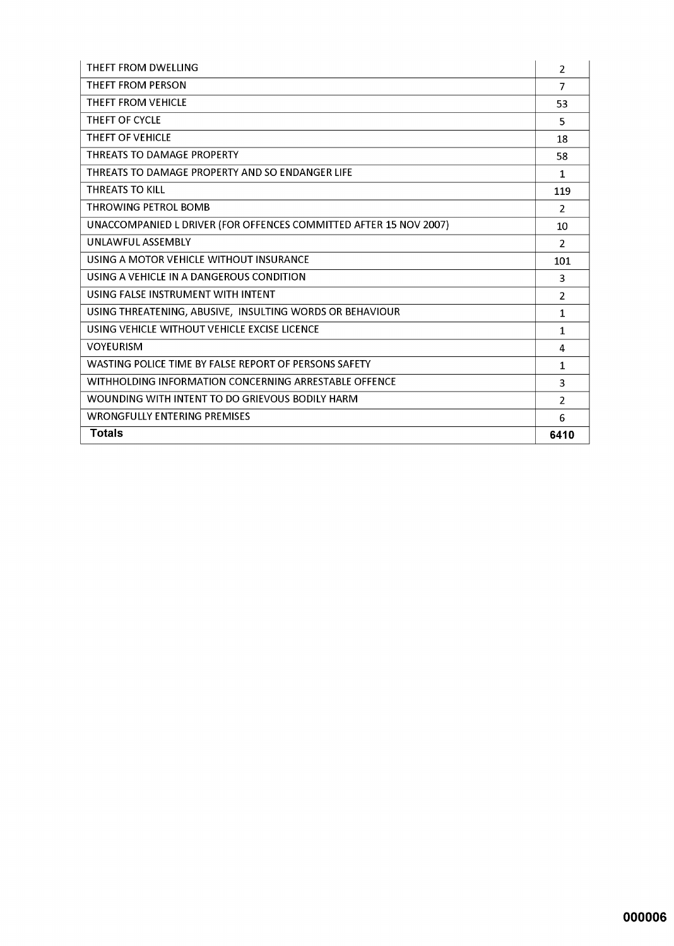| THEFT FROM DWELLING                                               | 2              |
|-------------------------------------------------------------------|----------------|
| THEFT FROM PERSON                                                 | $\overline{7}$ |
| <b>THEFT FROM VEHICLE</b>                                         | 53             |
| THEFT OF CYCLE                                                    | 5              |
| THEFT OF VEHICLE                                                  | 18             |
| THREATS TO DAMAGE PROPERTY                                        | 58             |
| THREATS TO DAMAGE PROPERTY AND SO ENDANGER LIFE                   | $\mathbf{1}$   |
| <b>THREATS TO KILL</b>                                            | 119            |
| THROWING PETROL BOMB                                              | $\mathcal{P}$  |
| UNACCOMPANIED L DRIVER (FOR OFFENCES COMMITTED AFTER 15 NOV 2007) | 10             |
| UNIAWFUL ASSEMBLY                                                 | $\overline{2}$ |
| USING A MOTOR VEHICLE WITHOUT INSURANCE                           | 101            |
| USING A VEHICLE IN A DANGEROUS CONDITION                          | 3              |
| USING FALSE INSTRUMENT WITH INTENT                                | $\overline{2}$ |
| USING THREATENING, ABUSIVE, INSULTING WORDS OR BEHAVIOUR          | $\mathbf{1}$   |
| USING VEHICLE WITHOUT VEHICLE EXCISE LICENCE                      | $\mathbf{1}$   |
| <b>VOYEURISM</b>                                                  | 4              |
| WASTING POLICE TIME BY FALSE REPORT OF PERSONS SAFETY             | $\mathbf{1}$   |
| WITHHOLDING INFORMATION CONCERNING ARRESTABLE OFFENCE             | 3              |
| WOUNDING WITH INTENT TO DO GRIEVOUS BODILY HARM                   | $\overline{2}$ |
| <b>WRONGFULLY ENTERING PREMISES</b>                               | 6              |
| <b>Totals</b>                                                     | 6410           |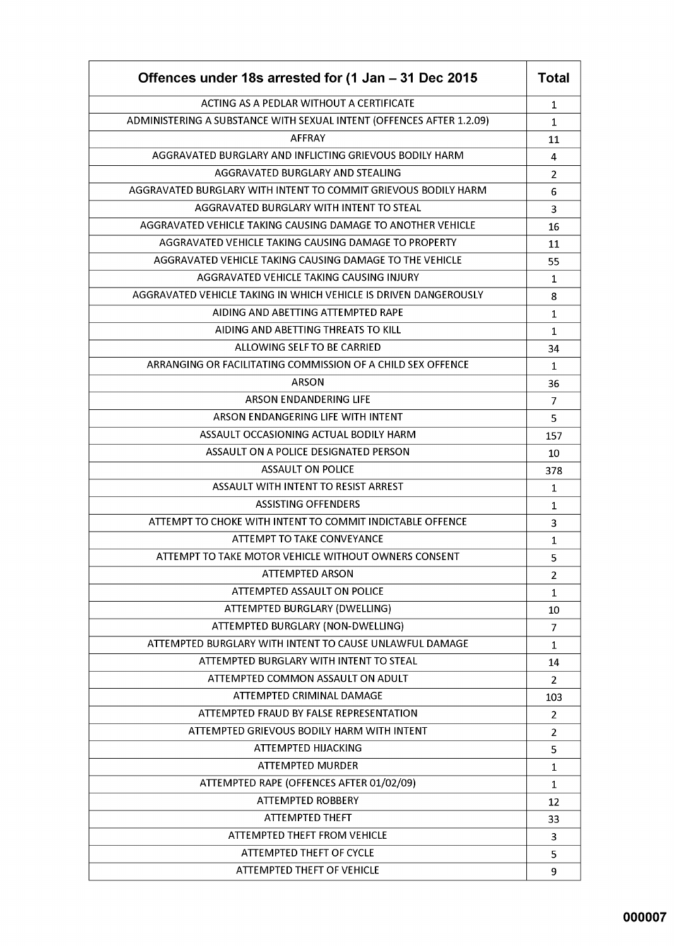| Offences under 18s arrested for (1 Jan - 31 Dec 2015                 | <b>Total</b>   |
|----------------------------------------------------------------------|----------------|
| ACTING AS A PEDLAR WITHOUT A CERTIFICATE                             | 1              |
| ADMINISTERING A SUBSTANCE WITH SEXUAL INTENT (OFFENCES AFTER 1.2.09) | $\mathbf{1}$   |
| <b>AFFRAY</b>                                                        | 11             |
| AGGRAVATED BURGLARY AND INFLICTING GRIEVOUS BODILY HARM              | 4              |
| AGGRAVATED BURGLARY AND STEALING                                     | 2              |
| AGGRAVATED BURGLARY WITH INTENT TO COMMIT GRIEVOUS BODILY HARM       | 6              |
| AGGRAVATED BURGLARY WITH INTENT TO STEAL                             | 3              |
| AGGRAVATED VEHICLE TAKING CAUSING DAMAGE TO ANOTHER VEHICLE          | 16             |
| AGGRAVATED VEHICLE TAKING CAUSING DAMAGE TO PROPERTY                 | 11             |
| AGGRAVATED VEHICLE TAKING CAUSING DAMAGE TO THE VEHICLE              | 55             |
| AGGRAVATED VEHICLE TAKING CAUSING INJURY                             | $\mathbf{1}$   |
| AGGRAVATED VEHICLE TAKING IN WHICH VEHICLE IS DRIVEN DANGEROUSLY     | 8              |
| AIDING AND ABETTING ATTEMPTED RAPE                                   | 1              |
| AIDING AND ABETTING THREATS TO KILL                                  | $\mathbf 1$    |
| ALLOWING SELF TO BE CARRIED                                          | 34             |
| ARRANGING OR FACILITATING COMMISSION OF A CHILD SEX OFFENCE          | 1              |
| ARSON                                                                | 36             |
| ARSON ENDANDERING LIFE                                               | $\overline{7}$ |
| ARSON ENDANGERING LIFE WITH INTENT                                   | 5              |
| ASSAULT OCCASIONING ACTUAL BODILY HARM                               | 157            |
| ASSAULT ON A POLICE DESIGNATED PERSON                                | 10             |
| <b>ASSAULT ON POLICE</b>                                             | 378            |
| ASSAULT WITH INTENT TO RESIST ARREST                                 | 1              |
| <b>ASSISTING OFFENDERS</b>                                           | 1              |
| ATTEMPT TO CHOKE WITH INTENT TO COMMIT INDICTABLE OFFENCE            | 3              |
| ATTEMPT TO TAKE CONVEYANCE                                           | 1              |
| ATTEMPT TO TAKE MOTOR VEHICLE WITHOUT OWNERS CONSENT                 | 5              |
| <b>ATTEMPTED ARSON</b>                                               | $\overline{2}$ |
| ATTEMPTED ASSAULT ON POLICE                                          | $\mathbf{1}$   |
| ATTEMPTED BURGLARY (DWELLING)                                        | 10             |
| ATTEMPTED BURGLARY (NON-DWELLING)                                    | 7              |
| ATTEMPTED BURGLARY WITH INTENT TO CAUSE UNLAWFUL DAMAGE              | 1              |
| ATTEMPTED BURGLARY WITH INTENT TO STEAL                              | 14             |
| ATTEMPTED COMMON ASSAULT ON ADULT                                    | $\overline{2}$ |
| ATTEMPTED CRIMINAL DAMAGE                                            | 103            |
| ATTEMPTED FRAUD BY FALSE REPRESENTATION                              | $\overline{2}$ |
| ATTEMPTED GRIEVOUS BODILY HARM WITH INTENT                           | 2              |
| ATTEMPTED HIJACKING                                                  | 5              |
| <b>ATTEMPTED MURDER</b>                                              | $\mathbf{1}$   |
| ATTEMPTED RAPE (OFFENCES AFTER 01/02/09)                             | $\mathbf 1$    |
| <b>ATTEMPTED ROBBERY</b>                                             | 12             |
| <b>ATTEMPTED THEFT</b>                                               | 33             |
| <b>ATTEMPTED THEFT FROM VEHICLE</b>                                  | 3              |
| ATTEMPTED THEFT OF CYCLE                                             | 5              |
| <b>ATTEMPTED THEFT OF VEHICLE</b>                                    | 9              |
|                                                                      |                |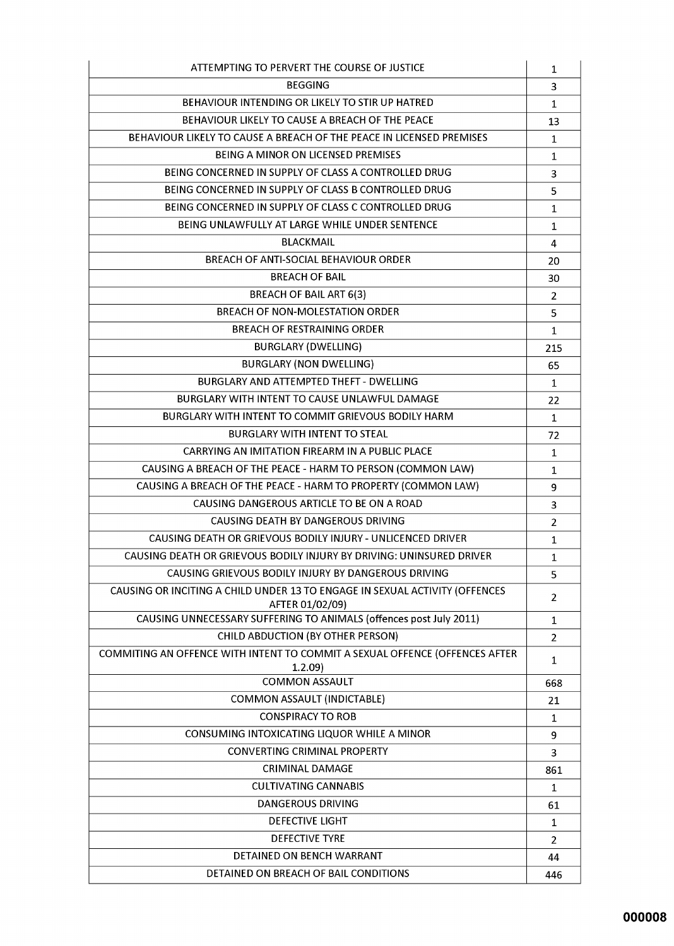| ATTEMPTING TO PERVERT THE COURSE OF JUSTICE                                                    | 1              |
|------------------------------------------------------------------------------------------------|----------------|
| <b>BEGGING</b>                                                                                 | 3              |
| BEHAVIOUR INTENDING OR LIKELY TO STIR UP HATRED                                                | $\mathbf{1}$   |
| BEHAVIOUR LIKELY TO CAUSE A BREACH OF THE PEACE                                                | 13             |
| BEHAVIOUR LIKELY TO CAUSE A BREACH OF THE PEACE IN LICENSED PREMISES                           | 1              |
| <b>BEING A MINOR ON LICENSED PREMISES</b>                                                      | 1              |
| BEING CONCERNED IN SUPPLY OF CLASS A CONTROLLED DRUG                                           | 3              |
| BEING CONCERNED IN SUPPLY OF CLASS B CONTROLLED DRUG                                           | 5              |
| BEING CONCERNED IN SUPPLY OF CLASS C CONTROLLED DRUG                                           | $\mathbf 1$    |
| BEING UNLAWFULLY AT LARGE WHILE UNDER SENTENCE                                                 | $\mathbf{1}$   |
| <b>BLACKMAIL</b>                                                                               | 4              |
| BREACH OF ANTI-SOCIAL BEHAVIOUR ORDER                                                          | 20             |
| <b>BREACH OF BAIL</b>                                                                          | 30             |
| <b>BREACH OF BAIL ART 6(3)</b>                                                                 | $\overline{2}$ |
| <b>BREACH OF NON-MOLESTATION ORDER</b>                                                         | 5              |
| <b>BREACH OF RESTRAINING ORDER</b>                                                             | $\mathbf{1}$   |
| <b>BURGLARY (DWELLING)</b>                                                                     | 215            |
| <b>BURGLARY (NON DWELLING)</b>                                                                 | 65             |
| BURGLARY AND ATTEMPTED THEFT - DWELLING                                                        | $\mathbf{1}$   |
| BURGLARY WITH INTENT TO CAUSE UNLAWFUL DAMAGE                                                  | 22             |
| BURGLARY WITH INTENT TO COMMIT GRIEVOUS BODILY HARM                                            | $\mathbf{1}$   |
| <b>BURGLARY WITH INTENT TO STEAL</b>                                                           | 72             |
| CARRYING AN IMITATION FIREARM IN A PUBLIC PLACE                                                | $\mathbf{1}$   |
| CAUSING A BREACH OF THE PEACE - HARM TO PERSON (COMMON LAW)                                    | 1              |
| CAUSING A BREACH OF THE PEACE - HARM TO PROPERTY (COMMON LAW)                                  | 9              |
| CAUSING DANGEROUS ARTICLE TO BE ON A ROAD                                                      | 3              |
| CAUSING DEATH BY DANGEROUS DRIVING                                                             | $\overline{2}$ |
| CAUSING DEATH OR GRIEVOUS BODILY INJURY - UNLICENCED DRIVER                                    | $\mathbf{1}$   |
| CAUSING DEATH OR GRIEVOUS BODILY INJURY BY DRIVING: UNINSURED DRIVER                           | $\mathbf{1}$   |
| CAUSING GRIEVOUS BODILY INJURY BY DANGEROUS DRIVING                                            | 5              |
| CAUSING OR INCITING A CHILD UNDER 13 TO ENGAGE IN SEXUAL ACTIVITY (OFFENCES<br>AFTER 01/02/09) | 2              |
| CAUSING UNNECESSARY SUFFERING TO ANIMALS (offences post July 2011)                             | 1              |
| CHILD ABDUCTION (BY OTHER PERSON)                                                              | $\overline{2}$ |
| COMMITING AN OFFENCE WITH INTENT TO COMMIT A SEXUAL OFFENCE (OFFENCES AFTER<br>1.2.09          | 1              |
| <b>COMMON ASSAULT</b>                                                                          | 668            |
| <b>COMMON ASSAULT (INDICTABLE)</b>                                                             | 21             |
| <b>CONSPIRACY TO ROB</b>                                                                       | 1              |
| CONSUMING INTOXICATING LIQUOR WHILE A MINOR                                                    | 9              |
| <b>CONVERTING CRIMINAL PROPERTY</b>                                                            | 3              |
| <b>CRIMINAL DAMAGE</b>                                                                         | 861            |
| <b>CULTIVATING CANNABIS</b>                                                                    | 1              |
| <b>DANGEROUS DRIVING</b>                                                                       | 61             |
| <b>DEFECTIVE LIGHT</b>                                                                         | 1              |
| <b>DEFECTIVE TYRE</b>                                                                          | $\overline{2}$ |
| DETAINED ON BENCH WARRANT                                                                      | 44             |
| DETAINED ON BREACH OF BAIL CONDITIONS                                                          | 446            |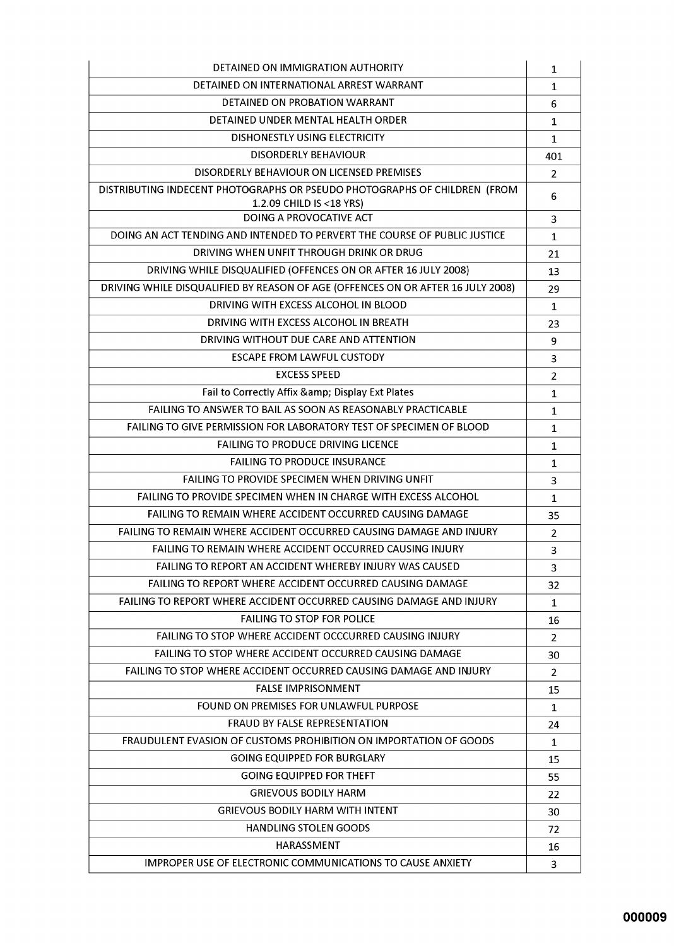| DETAINED ON IMMIGRATION AUTHORITY                                               | 1              |
|---------------------------------------------------------------------------------|----------------|
| DETAINED ON INTERNATIONAL ARREST WARRANT                                        | 1              |
| DETAINED ON PROBATION WARRANT                                                   | 6              |
| DETAINED UNDER MENTAL HEALTH ORDER                                              | 1              |
| <b>DISHONESTLY USING ELECTRICITY</b>                                            | $\mathbf{1}$   |
| <b>DISORDERLY BEHAVIOUR</b>                                                     | 401            |
| DISORDERLY BEHAVIOUR ON LICENSED PREMISES                                       | 2              |
| DISTRIBUTING INDECENT PHOTOGRAPHS OR PSEUDO PHOTOGRAPHS OF CHILDREN (FROM       | 6              |
| 1.2.09 CHILD IS < 18 YRS)                                                       |                |
| DOING A PROVOCATIVE ACT                                                         | 3              |
| DOING AN ACT TENDING AND INTENDED TO PERVERT THE COURSE OF PUBLIC JUSTICE       | $\mathbf{1}$   |
| DRIVING WHEN UNFIT THROUGH DRINK OR DRUG                                        | 21             |
| DRIVING WHILE DISQUALIFIED (OFFENCES ON OR AFTER 16 JULY 2008)                  | 13             |
| DRIVING WHILE DISQUALIFIED BY REASON OF AGE (OFFENCES ON OR AFTER 16 JULY 2008) | 29             |
| DRIVING WITH EXCESS ALCOHOL IN BLOOD                                            | $\mathbf{1}$   |
| DRIVING WITH EXCESS ALCOHOL IN BREATH                                           | 23             |
| DRIVING WITHOUT DUE CARE AND ATTENTION                                          | 9              |
| <b>ESCAPE FROM LAWFUL CUSTODY</b>                                               | 3              |
| <b>EXCESS SPEED</b>                                                             | $\overline{2}$ |
| Fail to Correctly Affix & amp; Display Ext Plates                               | 1              |
| FAILING TO ANSWER TO BAIL AS SOON AS REASONABLY PRACTICABLE                     | 1              |
| FAILING TO GIVE PERMISSION FOR LABORATORY TEST OF SPECIMEN OF BLOOD             | 1              |
| <b>FAILING TO PRODUCE DRIVING LICENCE</b>                                       | $\mathbf 1$    |
| <b>FAILING TO PRODUCE INSURANCE</b>                                             | $\mathbf{1}$   |
| <b>FAILING TO PROVIDE SPECIMEN WHEN DRIVING UNFIT</b>                           | 3              |
| FAILING TO PROVIDE SPECIMEN WHEN IN CHARGE WITH EXCESS ALCOHOL                  | 1              |
| <b>FAILING TO REMAIN WHERE ACCIDENT OCCURRED CAUSING DAMAGE</b>                 | 35             |
| <b>FAILING TO REMAIN WHERE ACCIDENT OCCURRED CAUSING DAMAGE AND INJURY</b>      | 2              |
| FAILING TO REMAIN WHERE ACCIDENT OCCURRED CAUSING INJURY                        | 3              |
| FAILING TO REPORT AN ACCIDENT WHEREBY INJURY WAS CAUSED                         | 3              |
| <b>FAILING TO REPORT WHERE ACCIDENT OCCURRED CAUSING DAMAGE</b>                 | 32             |
| <b>FAILING TO REPORT WHERE ACCIDENT OCCURRED CAUSING DAMAGE AND INJURY</b>      | 1              |
| <b>FAILING TO STOP FOR POLICE</b>                                               | 16             |
| FAILING TO STOP WHERE ACCIDENT OCCCURRED CAUSING INJURY                         | 2              |
| FAILING TO STOP WHERE ACCIDENT OCCURRED CAUSING DAMAGE                          | 30             |
| <b>FAILING TO STOP WHERE ACCIDENT OCCURRED CAUSING DAMAGE AND INJURY</b>        | 2              |
| <b>FALSE IMPRISONMENT</b>                                                       | 15             |
| FOUND ON PREMISES FOR UNLAWFUL PURPOSE                                          | 1              |
| <b>FRAUD BY FALSE REPRESENTATION</b>                                            | 24             |
| <b>FRAUDULENT EVASION OF CUSTOMS PROHIBITION ON IMPORTATION OF GOODS</b>        | 1              |
| <b>GOING EQUIPPED FOR BURGLARY</b>                                              | 15             |
| <b>GOING EQUIPPED FOR THEFT</b>                                                 | 55             |
| <b>GRIEVOUS BODILY HARM</b>                                                     | 22             |
| <b>GRIEVOUS BODILY HARM WITH INTENT</b>                                         | 30             |
| <b>HANDLING STOLEN GOODS</b>                                                    | 72             |
| HARASSMENT                                                                      | 16             |
| <b>IMPROPER USE OF ELECTRONIC COMMUNICATIONS TO CAUSE ANXIETY</b>               | 3              |
|                                                                                 |                |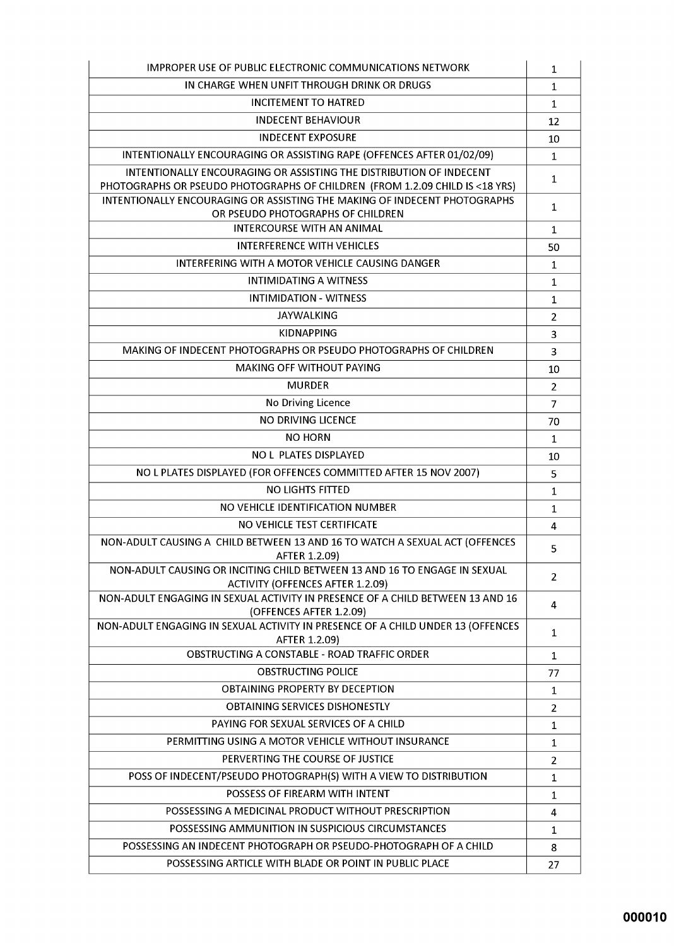| <b>IMPROPER USE OF PUBLIC ELECTRONIC COMMUNICATIONS NETWORK</b>                                                                                     | 1              |
|-----------------------------------------------------------------------------------------------------------------------------------------------------|----------------|
| IN CHARGE WHEN UNFIT THROUGH DRINK OR DRUGS                                                                                                         | $\mathbf 1$    |
| <b>INCITEMENT TO HATRED</b>                                                                                                                         | $\mathbf{1}$   |
| <b>INDECENT BEHAVIOUR</b>                                                                                                                           | 12             |
| <b>INDECENT EXPOSURE</b>                                                                                                                            | 10             |
| INTENTIONALLY ENCOURAGING OR ASSISTING RAPE (OFFENCES AFTER 01/02/09)                                                                               | 1              |
| INTENTIONALLY ENCOURAGING OR ASSISTING THE DISTRIBUTION OF INDECENT<br>PHOTOGRAPHS OR PSEUDO PHOTOGRAPHS OF CHILDREN (FROM 1.2.09 CHILD IS <18 YRS) | 1              |
| INTENTIONALLY ENCOURAGING OR ASSISTING THE MAKING OF INDECENT PHOTOGRAPHS<br>OR PSEUDO PHOTOGRAPHS OF CHILDREN                                      | 1              |
| <b>INTERCOURSE WITH AN ANIMAL</b>                                                                                                                   | 1              |
| <b>INTERFERENCE WITH VEHICLES</b>                                                                                                                   | 50             |
| INTERFERING WITH A MOTOR VEHICLE CAUSING DANGER                                                                                                     | 1              |
| <b>INTIMIDATING A WITNESS</b>                                                                                                                       | 1              |
| <b>INTIMIDATION - WITNESS</b>                                                                                                                       | $\mathbf{1}$   |
| <b>JAYWALKING</b>                                                                                                                                   | 2              |
| <b>KIDNAPPING</b>                                                                                                                                   | 3              |
| MAKING OF INDECENT PHOTOGRAPHS OR PSEUDO PHOTOGRAPHS OF CHILDREN                                                                                    | 3              |
| <b>MAKING OFF WITHOUT PAYING</b>                                                                                                                    | 10             |
| <b>MURDER</b>                                                                                                                                       | $\overline{2}$ |
| No Driving Licence                                                                                                                                  | 7              |
| NO DRIVING LICENCE                                                                                                                                  | 70             |
| <b>NO HORN</b>                                                                                                                                      | 1              |
| <b>NO L PLATES DISPLAYED</b>                                                                                                                        | 10             |
| NO L PLATES DISPLAYED (FOR OFFENCES COMMITTED AFTER 15 NOV 2007)                                                                                    | 5              |
| <b>NO LIGHTS FITTED</b>                                                                                                                             | $\mathbf{1}$   |
| NO VEHICLE IDENTIFICATION NUMBER                                                                                                                    | $\mathbf{1}$   |
| NO VEHICLE TEST CERTIFICATE                                                                                                                         | 4              |
| NON-ADULT CAUSING A CHILD BETWEEN 13 AND 16 TO WATCH A SEXUAL ACT (OFFENCES<br>AFTER 1.2.09)                                                        | 5              |
| NON-ADULT CAUSING OR INCITING CHILD BETWEEN 13 AND 16 TO ENGAGE IN SEXUAL                                                                           | 2              |
| <b>ACTIVITY (OFFENCES AFTER 1.2.09)</b><br>NON-ADULT ENGAGING IN SEXUAL ACTIVITY IN PRESENCE OF A CHILD BETWEEN 13 AND 16                           | 4              |
| (OFFENCES AFTER 1.2.09)<br>NON-ADULT ENGAGING IN SEXUAL ACTIVITY IN PRESENCE OF A CHILD UNDER 13 (OFFENCES                                          | $\mathbf{1}$   |
| AFTER 1.2.09)<br>OBSTRUCTING A CONSTABLE - ROAD TRAFFIC ORDER                                                                                       |                |
| <b>OBSTRUCTING POLICE</b>                                                                                                                           | 1              |
| <b>OBTAINING PROPERTY BY DECEPTION</b>                                                                                                              | 77             |
| OBTAINING SERVICES DISHONESTLY                                                                                                                      | 1              |
| PAYING FOR SEXUAL SERVICES OF A CHILD                                                                                                               | $\overline{2}$ |
| PERMITTING USING A MOTOR VEHICLE WITHOUT INSURANCE                                                                                                  | $\mathbf 1$    |
| PERVERTING THE COURSE OF JUSTICE                                                                                                                    | 1              |
| POSS OF INDECENT/PSEUDO PHOTOGRAPH(S) WITH A VIEW TO DISTRIBUTION                                                                                   | $\overline{2}$ |
| POSSESS OF FIREARM WITH INTENT                                                                                                                      | 1              |
| POSSESSING A MEDICINAL PRODUCT WITHOUT PRESCRIPTION                                                                                                 | 1              |
| POSSESSING AMMUNITION IN SUSPICIOUS CIRCUMSTANCES                                                                                                   | 4              |
|                                                                                                                                                     | $\mathbf 1$    |
| POSSESSING AN INDECENT PHOTOGRAPH OR PSEUDO-PHOTOGRAPH OF A CHILD                                                                                   | 8              |
| POSSESSING ARTICLE WITH BLADE OR POINT IN PUBLIC PLACE                                                                                              | 27             |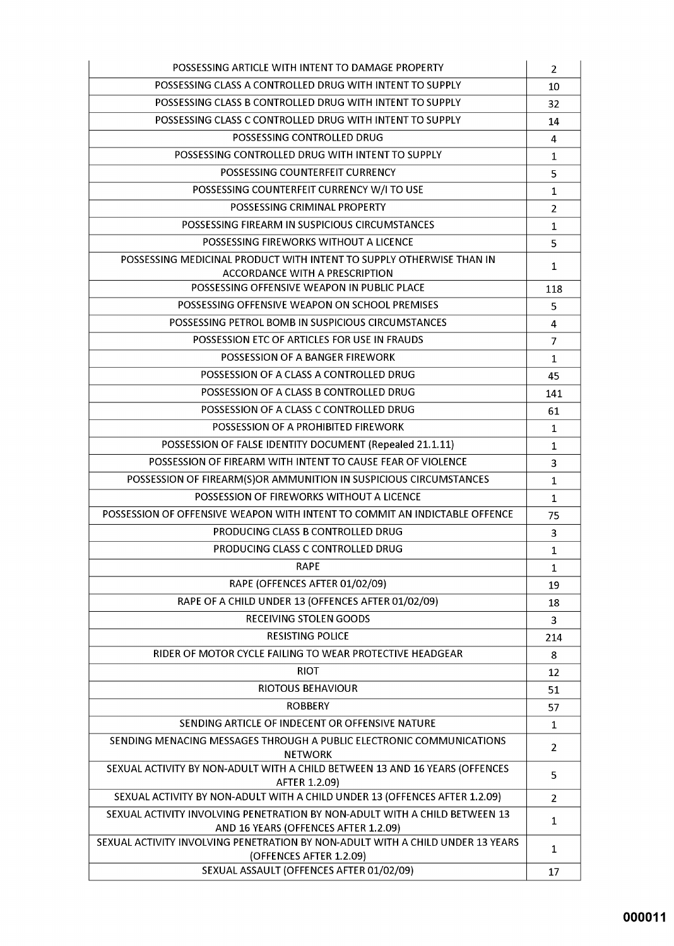| POSSESSING ARTICLE WITH INTENT TO DAMAGE PROPERTY                                                                  | $\overline{2}$ |
|--------------------------------------------------------------------------------------------------------------------|----------------|
| POSSESSING CLASS A CONTROLLED DRUG WITH INTENT TO SUPPLY                                                           | 10             |
| POSSESSING CLASS B CONTROLLED DRUG WITH INTENT TO SUPPLY                                                           | 32             |
| POSSESSING CLASS C CONTROLLED DRUG WITH INTENT TO SUPPLY                                                           | 14             |
| POSSESSING CONTROLLED DRUG                                                                                         | 4              |
| POSSESSING CONTROLLED DRUG WITH INTENT TO SUPPLY                                                                   | $\mathbf{1}$   |
| POSSESSING COUNTERFEIT CURRENCY                                                                                    | 5              |
| POSSESSING COUNTERFEIT CURRENCY W/I TO USE                                                                         | $\mathbf 1$    |
| POSSESSING CRIMINAL PROPERTY                                                                                       | $\overline{2}$ |
| POSSESSING FIREARM IN SUSPICIOUS CIRCUMSTANCES                                                                     | 1              |
| POSSESSING FIREWORKS WITHOUT A LICENCE                                                                             | 5              |
| POSSESSING MEDICINAL PRODUCT WITH INTENT TO SUPPLY OTHERWISE THAN IN                                               |                |
| ACCORDANCE WITH A PRESCRIPTION                                                                                     | $\mathbf 1$    |
| POSSESSING OFFENSIVE WEAPON IN PUBLIC PLACE                                                                        | 118            |
| POSSESSING OFFENSIVE WEAPON ON SCHOOL PREMISES                                                                     | 5              |
| POSSESSING PETROL BOMB IN SUSPICIOUS CIRCUMSTANCES                                                                 | 4              |
| POSSESSION ETC OF ARTICLES FOR USE IN FRAUDS                                                                       | $\overline{7}$ |
| POSSESSION OF A BANGER FIREWORK                                                                                    | $\mathbf{1}$   |
| POSSESSION OF A CLASS A CONTROLLED DRUG                                                                            | 45             |
| POSSESSION OF A CLASS B CONTROLLED DRUG                                                                            | 141            |
| POSSESSION OF A CLASS C CONTROLLED DRUG                                                                            | 61             |
| POSSESSION OF A PROHIBITED FIREWORK                                                                                | 1              |
| POSSESSION OF FALSE IDENTITY DOCUMENT (Repealed 21.1.11)                                                           | 1              |
| POSSESSION OF FIREARM WITH INTENT TO CAUSE FEAR OF VIOLENCE                                                        | 3              |
| POSSESSION OF FIREARM(S)OR AMMUNITION IN SUSPICIOUS CIRCUMSTANCES                                                  | $\mathbf 1$    |
| POSSESSION OF FIREWORKS WITHOUT A LICENCE                                                                          | 1              |
| POSSESSION OF OFFENSIVE WEAPON WITH INTENT TO COMMIT AN INDICTABLE OFFENCE                                         | 75             |
| PRODUCING CLASS B CONTROLLED DRUG                                                                                  | 3              |
| PRODUCING CLASS C CONTROLLED DRUG                                                                                  | $\mathbf{1}$   |
| <b>RAPE</b>                                                                                                        | 1              |
| RAPE (OFFENCES AFTER 01/02/09)                                                                                     | 19             |
| RAPE OF A CHILD UNDER 13 (OFFENCES AFTER 01/02/09)                                                                 | 18             |
| <b>RECEIVING STOLEN GOODS</b>                                                                                      | 3              |
| <b>RESISTING POLICE</b>                                                                                            | 214            |
| RIDER OF MOTOR CYCLE FAILING TO WEAR PROTECTIVE HEADGEAR                                                           | 8              |
| <b>RIOT</b>                                                                                                        | 12             |
| <b>RIOTOUS BEHAVIOUR</b>                                                                                           | 51             |
| <b>ROBBERY</b>                                                                                                     | 57             |
| SENDING ARTICLE OF INDECENT OR OFFENSIVE NATURE                                                                    | 1              |
| SENDING MENACING MESSAGES THROUGH A PUBLIC ELECTRONIC COMMUNICATIONS                                               |                |
| <b>NETWORK</b>                                                                                                     | 2              |
| SEXUAL ACTIVITY BY NON-ADULT WITH A CHILD BETWEEN 13 AND 16 YEARS (OFFENCES<br>AFTER 1.2.09)                       | 5              |
| SEXUAL ACTIVITY BY NON-ADULT WITH A CHILD UNDER 13 (OFFENCES AFTER 1.2.09)                                         | 2              |
| SEXUAL ACTIVITY INVOLVING PENETRATION BY NON-ADULT WITH A CHILD BETWEEN 13<br>AND 16 YEARS (OFFENCES AFTER 1.2.09) | 1              |
| SEXUAL ACTIVITY INVOLVING PENETRATION BY NON-ADULT WITH A CHILD UNDER 13 YEARS<br>(OFFENCES AFTER 1.2.09)          | 1              |
| SEXUAL ASSAULT (OFFENCES AFTER 01/02/09)                                                                           | 17             |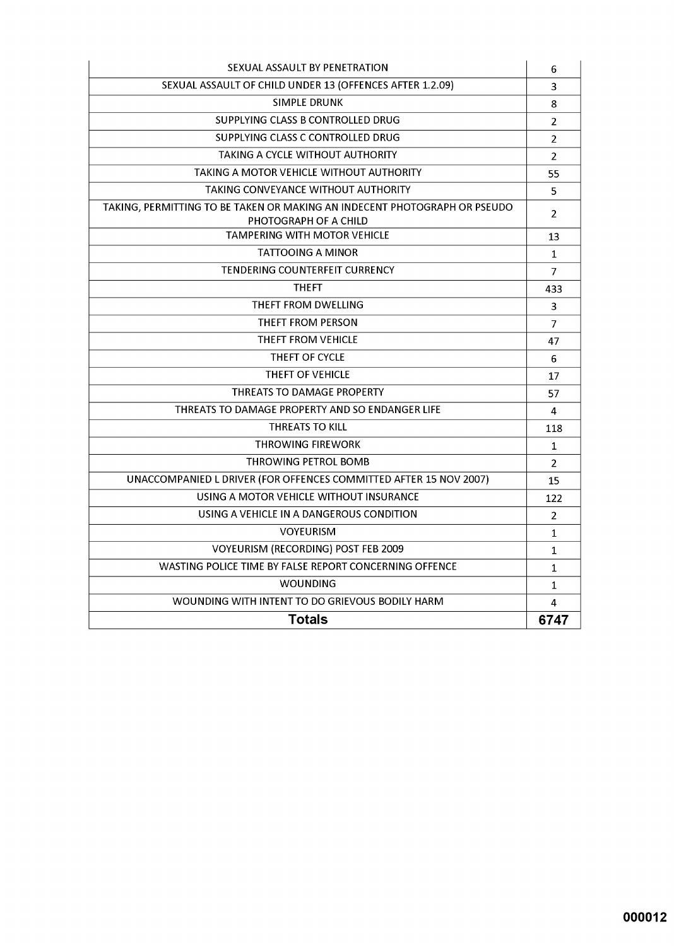| SEXUAL ASSAULT BY PENETRATION                                                                      | 6              |
|----------------------------------------------------------------------------------------------------|----------------|
| SEXUAL ASSAULT OF CHILD UNDER 13 (OFFENCES AFTER 1.2.09)                                           | 3              |
| <b>SIMPLE DRUNK</b>                                                                                | 8              |
| SUPPLYING CLASS B CONTROLLED DRUG                                                                  | $\overline{2}$ |
| SUPPLYING CLASS C CONTROLLED DRUG                                                                  | $\overline{2}$ |
| TAKING A CYCLE WITHOUT AUTHORITY                                                                   | $\overline{2}$ |
| TAKING A MOTOR VEHICLE WITHOUT AUTHORITY                                                           | 55             |
| TAKING CONVEYANCE WITHOUT AUTHORITY                                                                | 5              |
| TAKING, PERMITTING TO BE TAKEN OR MAKING AN INDECENT PHOTOGRAPH OR PSEUDO<br>PHOTOGRAPH OF A CHILD | 2              |
| TAMPERING WITH MOTOR VEHICLE                                                                       | 13             |
| <b>TATTOOING A MINOR</b>                                                                           | $\mathbf 1$    |
| TENDERING COUNTERFEIT CURRENCY                                                                     | $\overline{7}$ |
| <b>THEFT</b>                                                                                       | 433            |
| THEFT FROM DWELLING                                                                                | 3              |
| THEFT FROM PERSON                                                                                  | 7              |
| THEFT FROM VEHICLE                                                                                 | 47             |
| THEFT OF CYCLE                                                                                     | 6              |
| THEFT OF VEHICLE                                                                                   | 17             |
| <b>THREATS TO DAMAGE PROPERTY</b>                                                                  | 57             |
| THREATS TO DAMAGE PROPERTY AND SO ENDANGER LIFE                                                    | 4              |
| <b>THREATS TO KILL</b>                                                                             | 118            |
| <b>THROWING FIREWORK</b>                                                                           | $\mathbf{1}$   |
| THROWING PETROL BOMB                                                                               | $\overline{2}$ |
| UNACCOMPANIED L DRIVER (FOR OFFENCES COMMITTED AFTER 15 NOV 2007)                                  | 15             |
| USING A MOTOR VEHICLE WITHOUT INSURANCE                                                            | 122            |
| USING A VEHICLE IN A DANGEROUS CONDITION                                                           | $\overline{2}$ |
| <b>VOYEURISM</b>                                                                                   | 1              |
| VOYEURISM (RECORDING) POST FEB 2009                                                                | $\mathbf{1}$   |
| WASTING POLICE TIME BY FALSE REPORT CONCERNING OFFENCE                                             | 1              |
| <b>WOUNDING</b>                                                                                    | 1              |
| WOUNDING WITH INTENT TO DO GRIEVOUS BODILY HARM                                                    | 4              |
| <b>Totals</b>                                                                                      | 6747           |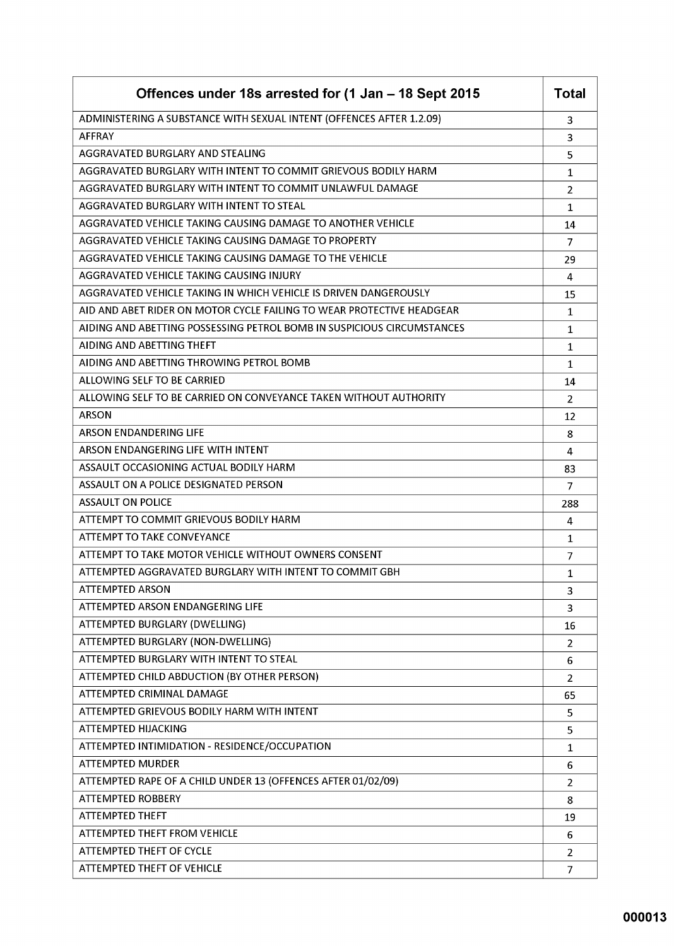| Offences under 18s arrested for (1 Jan - 18 Sept 2015                  | <b>Total</b>   |
|------------------------------------------------------------------------|----------------|
| ADMINISTERING A SUBSTANCE WITH SEXUAL INTENT (OFFENCES AFTER 1.2.09)   | 3              |
| <b>AFFRAY</b>                                                          | 3              |
| AGGRAVATED BURGLARY AND STEALING                                       | 5              |
| AGGRAVATED BURGLARY WITH INTENT TO COMMIT GRIEVOUS BODILY HARM         | 1              |
| AGGRAVATED BURGLARY WITH INTENT TO COMMIT UNLAWFUL DAMAGE              | 2              |
| AGGRAVATED BURGLARY WITH INTENT TO STEAL                               | 1              |
| AGGRAVATED VEHICLE TAKING CAUSING DAMAGE TO ANOTHER VEHICLE            | 14             |
| AGGRAVATED VEHICLE TAKING CAUSING DAMAGE TO PROPERTY                   | 7              |
| AGGRAVATED VEHICLE TAKING CAUSING DAMAGE TO THE VEHICLE                | 29             |
| AGGRAVATED VEHICLE TAKING CAUSING INJURY                               | 4              |
| AGGRAVATED VEHICLE TAKING IN WHICH VEHICLE IS DRIVEN DANGEROUSLY       | 15             |
| AID AND ABET RIDER ON MOTOR CYCLE FAILING TO WEAR PROTECTIVE HEADGEAR  | 1              |
| AIDING AND ABETTING POSSESSING PETROL BOMB IN SUSPICIOUS CIRCUMSTANCES | 1              |
| AIDING AND ABETTING THEFT                                              | 1              |
| AIDING AND ABETTING THROWING PETROL BOMB                               | 1              |
| ALLOWING SELF TO BE CARRIED                                            | 14             |
| ALLOWING SELF TO BE CARRIED ON CONVEYANCE TAKEN WITHOUT AUTHORITY      | 2              |
| <b>ARSON</b>                                                           | 12             |
| <b>ARSON ENDANDERING LIFE</b>                                          | 8              |
| ARSON ENDANGERING LIFE WITH INTENT                                     | 4              |
| ASSAULT OCCASIONING ACTUAL BODILY HARM                                 | 83             |
| ASSAULT ON A POLICE DESIGNATED PERSON                                  | $\overline{7}$ |
| <b>ASSAULT ON POLICE</b>                                               | 288            |
| ATTEMPT TO COMMIT GRIEVOUS BODILY HARM                                 | 4              |
| <b>ATTEMPT TO TAKE CONVEYANCE</b>                                      | 1              |
| ATTEMPT TO TAKE MOTOR VEHICLE WITHOUT OWNERS CONSENT                   | $\overline{7}$ |
| ATTEMPTED AGGRAVATED BURGLARY WITH INTENT TO COMMIT GBH                | $\mathbf{1}$   |
| <b>ATTEMPTED ARSON</b>                                                 | 3              |
| ATTEMPTED ARSON ENDANGERING LIFE                                       | 3              |
| ATTEMPTED BURGLARY (DWELLING)                                          | 16             |
| ATTEMPTED BURGLARY (NON-DWELLING)                                      | 2              |
| ATTEMPTED BURGLARY WITH INTENT TO STEAL                                | 6              |
| ATTEMPTED CHILD ABDUCTION (BY OTHER PERSON)                            | $\overline{2}$ |
| ATTEMPTED CRIMINAL DAMAGE                                              | 65             |
| ATTEMPTED GRIEVOUS BODILY HARM WITH INTENT                             | 5              |
| <b>ATTEMPTED HIJACKING</b>                                             | 5              |
| ATTEMPTED INTIMIDATION - RESIDENCE/OCCUPATION                          | 1              |
| <b>ATTEMPTED MURDER</b>                                                | 6              |
| ATTEMPTED RAPE OF A CHILD UNDER 13 (OFFENCES AFTER 01/02/09)           | $\overline{2}$ |
| <b>ATTEMPTED ROBBERY</b>                                               | 8              |
| <b>ATTEMPTED THEFT</b>                                                 | 19             |
| <b>ATTEMPTED THEFT FROM VEHICLE</b>                                    | 6              |
| <b>ATTEMPTED THEFT OF CYCLE</b>                                        | 2              |
| <b>ATTEMPTED THEFT OF VEHICLE</b>                                      | $\overline{7}$ |
|                                                                        |                |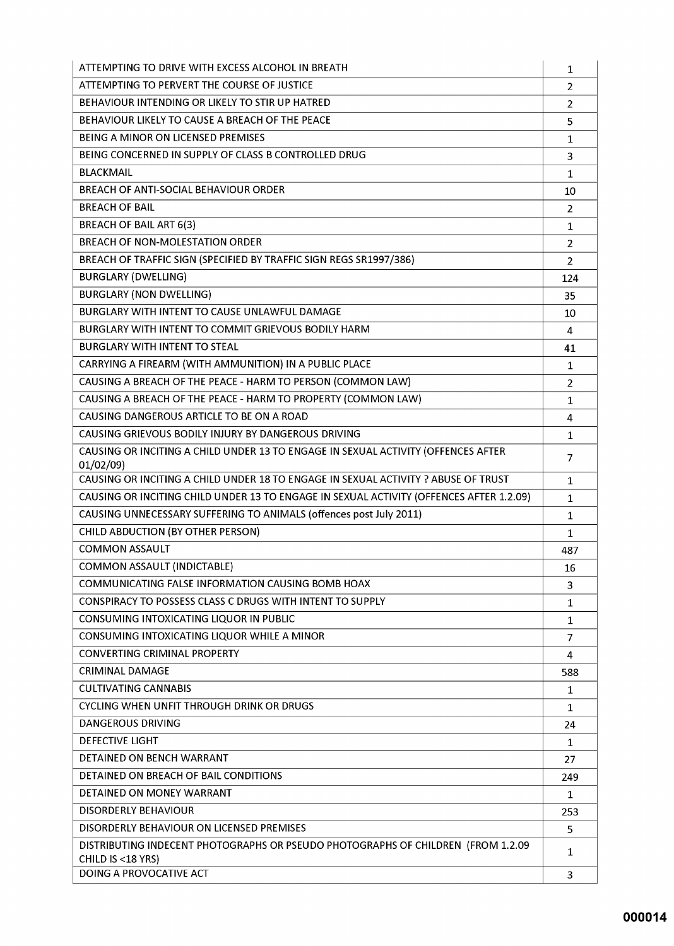| ATTEMPTING TO DRIVE WITH EXCESS ALCOHOL IN BREATH                                                     | 1              |
|-------------------------------------------------------------------------------------------------------|----------------|
| ATTEMPTING TO PERVERT THE COURSE OF JUSTICE                                                           | $\overline{2}$ |
| BEHAVIOUR INTENDING OR LIKELY TO STIR UP HATRED                                                       | $\overline{2}$ |
| BEHAVIOUR LIKELY TO CAUSE A BREACH OF THE PEACE                                                       | 5              |
| <b>BEING A MINOR ON LICENSED PREMISES</b>                                                             | $\mathbf{1}$   |
| BEING CONCERNED IN SUPPLY OF CLASS B CONTROLLED DRUG                                                  | 3              |
| <b>BLACKMAIL</b>                                                                                      | $\mathbf{1}$   |
| BREACH OF ANTI-SOCIAL BEHAVIOUR ORDER                                                                 | 10             |
| <b>BREACH OF BAIL</b>                                                                                 | $\overline{2}$ |
| <b>BREACH OF BAIL ART 6(3)</b>                                                                        | $\mathbf{1}$   |
| <b>BREACH OF NON-MOLESTATION ORDER</b>                                                                | $\overline{2}$ |
| BREACH OF TRAFFIC SIGN (SPECIFIED BY TRAFFIC SIGN REGS SR1997/386)                                    | $\overline{2}$ |
| <b>BURGLARY (DWELLING)</b>                                                                            | 124            |
| <b>BURGLARY (NON DWELLING)</b>                                                                        | 35             |
| BURGLARY WITH INTENT TO CAUSE UNLAWFUL DAMAGE                                                         | 10             |
| BURGLARY WITH INTENT TO COMMIT GRIEVOUS BODILY HARM                                                   | 4              |
| <b>BURGLARY WITH INTENT TO STEAL</b>                                                                  | 41             |
| CARRYING A FIREARM (WITH AMMUNITION) IN A PUBLIC PLACE                                                | 1              |
| CAUSING A BREACH OF THE PEACE - HARM TO PERSON (COMMON LAW)                                           | $\overline{2}$ |
| CAUSING A BREACH OF THE PEACE - HARM TO PROPERTY (COMMON LAW)                                         | $\mathbf{1}$   |
| CAUSING DANGEROUS ARTICLE TO BE ON A ROAD                                                             | 4              |
| CAUSING GRIEVOUS BODILY INJURY BY DANGEROUS DRIVING                                                   | $\mathbf{1}$   |
| CAUSING OR INCITING A CHILD UNDER 13 TO ENGAGE IN SEXUAL ACTIVITY (OFFENCES AFTER<br>01/02/09)        | 7              |
| CAUSING OR INCITING A CHILD UNDER 18 TO ENGAGE IN SEXUAL ACTIVITY ? ABUSE OF TRUST                    | $\mathbf{1}$   |
| CAUSING OR INCITING CHILD UNDER 13 TO ENGAGE IN SEXUAL ACTIVITY (OFFENCES AFTER 1.2.09)               | $\mathbf{1}$   |
| CAUSING UNNECESSARY SUFFERING TO ANIMALS (offences post July 2011)                                    | $\mathbf{1}$   |
| CHILD ABDUCTION (BY OTHER PERSON)                                                                     | $\mathbf{1}$   |
| <b>COMMON ASSAULT</b>                                                                                 | 487            |
| <b>COMMON ASSAULT (INDICTABLE)</b>                                                                    | 16             |
| COMMUNICATING FALSE INFORMATION CAUSING BOMB HOAX                                                     | 3              |
| <b>CONSPIRACY TO POSSESS CLASS C DRUGS WITH INTENT TO SUPPLY</b>                                      | 1              |
| CONSUMING INTOXICATING LIQUOR IN PUBLIC                                                               | 1              |
| CONSUMING INTOXICATING LIQUOR WHILE A MINOR                                                           | 7              |
| <b>CONVERTING CRIMINAL PROPERTY</b>                                                                   | 4              |
| <b>CRIMINAL DAMAGE</b>                                                                                | 588            |
| <b>CULTIVATING CANNABIS</b>                                                                           | 1              |
| <b>CYCLING WHEN UNFIT THROUGH DRINK OR DRUGS</b>                                                      | 1              |
| <b>DANGEROUS DRIVING</b>                                                                              | 24             |
| <b>DEFECTIVE LIGHT</b>                                                                                | 1              |
| DETAINED ON BENCH WARRANT                                                                             | 27             |
| DETAINED ON BREACH OF BAIL CONDITIONS                                                                 | 249            |
| DETAINED ON MONEY WARRANT                                                                             | 1              |
| DISORDERLY BEHAVIOUR                                                                                  | 253            |
| DISORDERLY BEHAVIOUR ON LICENSED PREMISES                                                             | 5              |
| DISTRIBUTING INDECENT PHOTOGRAPHS OR PSEUDO PHOTOGRAPHS OF CHILDREN (FROM 1.2.09<br>CHILD IS <18 YRS) | 1              |
| DOING A PROVOCATIVE ACT                                                                               | 3              |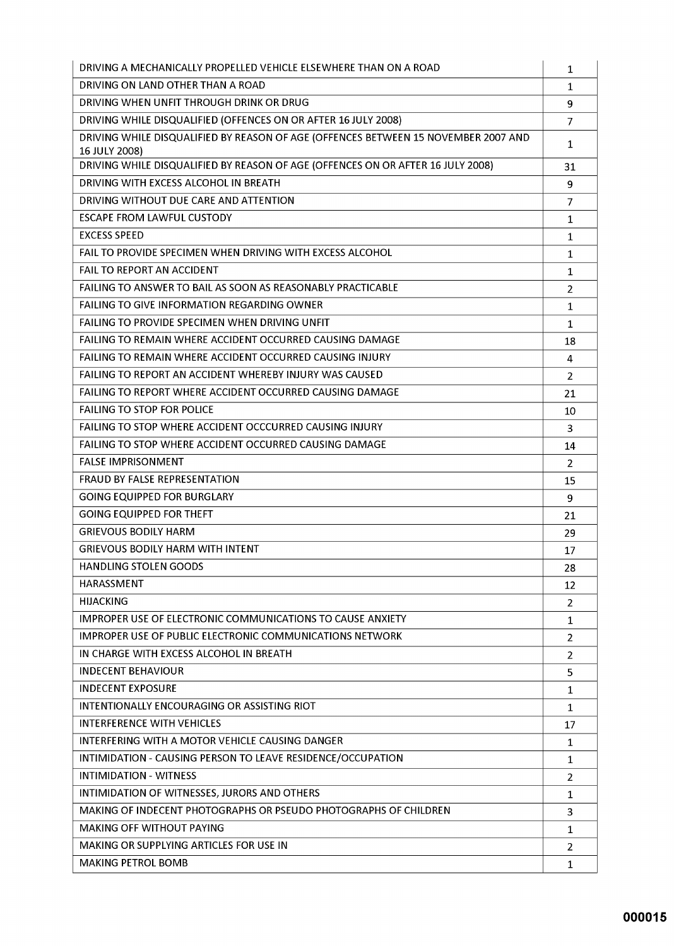| DRIVING A MECHANICALLY PROPELLED VEHICLE ELSEWHERE THAN ON A ROAD                                   | 1              |
|-----------------------------------------------------------------------------------------------------|----------------|
| DRIVING ON LAND OTHER THAN A ROAD                                                                   | $\mathbf{1}$   |
| DRIVING WHEN UNFIT THROUGH DRINK OR DRUG                                                            | 9              |
| DRIVING WHILE DISQUALIFIED (OFFENCES ON OR AFTER 16 JULY 2008)                                      | $\overline{7}$ |
| DRIVING WHILE DISQUALIFIED BY REASON OF AGE (OFFENCES BETWEEN 15 NOVEMBER 2007 AND<br>16 JULY 2008) | 1              |
| DRIVING WHILE DISQUALIFIED BY REASON OF AGE (OFFENCES ON OR AFTER 16 JULY 2008)                     | 31             |
| DRIVING WITH EXCESS ALCOHOL IN BREATH                                                               | 9              |
| DRIVING WITHOUT DUE CARE AND ATTENTION                                                              | $\overline{7}$ |
| <b>ESCAPE FROM LAWFUL CUSTODY</b>                                                                   | $\mathbf{1}$   |
| <b>EXCESS SPEED</b>                                                                                 | 1              |
| FAIL TO PROVIDE SPECIMEN WHEN DRIVING WITH EXCESS ALCOHOL                                           | 1              |
| <b>FAIL TO REPORT AN ACCIDENT</b>                                                                   | $\mathbf{1}$   |
| FAILING TO ANSWER TO BAIL AS SOON AS REASONABLY PRACTICABLE                                         | $\overline{2}$ |
| <b>FAILING TO GIVE INFORMATION REGARDING OWNER</b>                                                  | 1              |
| <b>FAILING TO PROVIDE SPECIMEN WHEN DRIVING UNFIT</b>                                               | 1              |
| FAILING TO REMAIN WHERE ACCIDENT OCCURRED CAUSING DAMAGE                                            | 18             |
| <b>FAILING TO REMAIN WHERE ACCIDENT OCCURRED CAUSING INJURY</b>                                     | 4              |
| FAILING TO REPORT AN ACCIDENT WHEREBY INJURY WAS CAUSED                                             | $\overline{2}$ |
| FAILING TO REPORT WHERE ACCIDENT OCCURRED CAUSING DAMAGE                                            | 21             |
| <b>FAILING TO STOP FOR POLICE</b>                                                                   | 10             |
| FAILING TO STOP WHERE ACCIDENT OCCCURRED CAUSING INJURY                                             | 3              |
| <b>FAILING TO STOP WHERE ACCIDENT OCCURRED CAUSING DAMAGE</b>                                       | 14             |
| <b>FALSE IMPRISONMENT</b>                                                                           | $\overline{2}$ |
| <b>FRAUD BY FALSE REPRESENTATION</b>                                                                | 15             |
| <b>GOING EQUIPPED FOR BURGLARY</b>                                                                  | 9              |
| <b>GOING EQUIPPED FOR THEFT</b>                                                                     | 21             |
| <b>GRIEVOUS BODILY HARM</b>                                                                         | 29             |
| <b>GRIEVOUS BODILY HARM WITH INTENT</b>                                                             | 17             |
| <b>HANDLING STOLEN GOODS</b>                                                                        | 28             |
| <b>HARASSMENT</b>                                                                                   | 12             |
| <b>HIJACKING</b>                                                                                    | $\overline{2}$ |
| <b>IMPROPER USE OF ELECTRONIC COMMUNICATIONS TO CAUSE ANXIETY</b>                                   | 1              |
| <b>IMPROPER USE OF PUBLIC ELECTRONIC COMMUNICATIONS NETWORK</b>                                     | $\overline{2}$ |
| IN CHARGE WITH EXCESS ALCOHOL IN BREATH                                                             | $\overline{2}$ |
| <b>INDECENT BEHAVIOUR</b>                                                                           | 5              |
| <b>INDECENT EXPOSURE</b>                                                                            | $\mathbf{1}$   |
| INTENTIONALLY ENCOURAGING OR ASSISTING RIOT                                                         | 1              |
| <b>INTERFERENCE WITH VEHICLES</b>                                                                   | 17             |
| INTERFERING WITH A MOTOR VEHICLE CAUSING DANGER                                                     | $\mathbf{1}$   |
| INTIMIDATION - CAUSING PERSON TO LEAVE RESIDENCE/OCCUPATION                                         | 1              |
| <b>INTIMIDATION - WITNESS</b>                                                                       | $\overline{2}$ |
| INTIMIDATION OF WITNESSES, JURORS AND OTHERS                                                        | $\mathbf{1}$   |
| MAKING OF INDECENT PHOTOGRAPHS OR PSEUDO PHOTOGRAPHS OF CHILDREN                                    | 3              |
| <b>MAKING OFF WITHOUT PAYING</b>                                                                    | 1              |
| MAKING OR SUPPLYING ARTICLES FOR USE IN                                                             | $\overline{2}$ |
| <b>MAKING PETROL BOMB</b>                                                                           | 1              |
|                                                                                                     |                |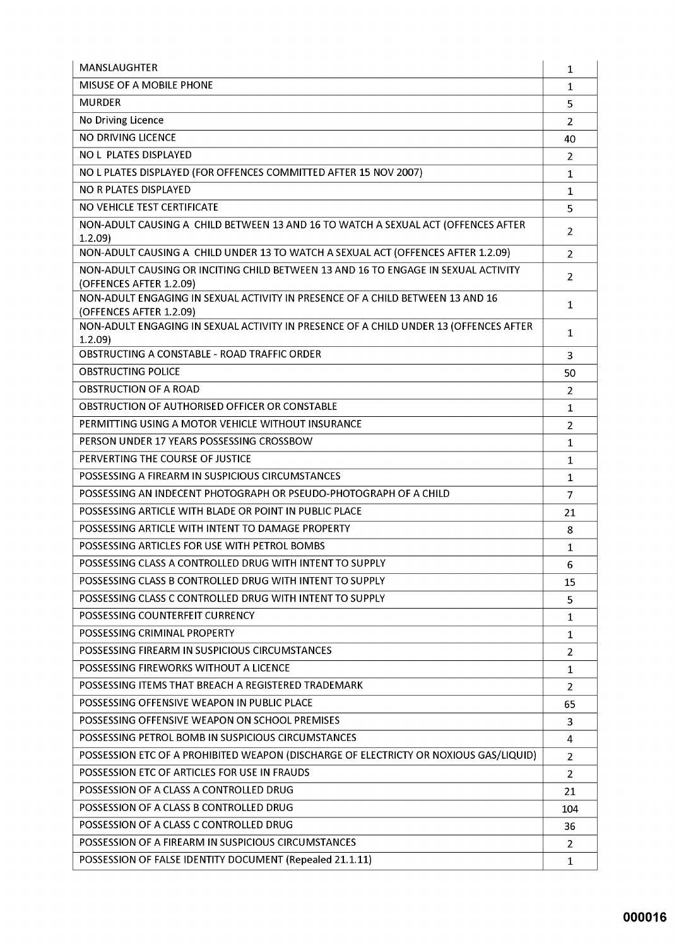| MANSLAUGHTER                                                                                                  | 1              |
|---------------------------------------------------------------------------------------------------------------|----------------|
| MISUSE OF A MOBILE PHONE                                                                                      | $\mathbf{1}$   |
| <b>MURDER</b>                                                                                                 | 5              |
| No Driving Licence                                                                                            | 2              |
| <b>NO DRIVING LICENCE</b>                                                                                     | 40             |
| NO L PLATES DISPLAYED                                                                                         | 2              |
| NO L PLATES DISPLAYED (FOR OFFENCES COMMITTED AFTER 15 NOV 2007)                                              | $\mathbf{1}$   |
| NO R PLATES DISPLAYED                                                                                         | $\mathbf 1$    |
| NO VEHICLE TEST CERTIFICATE                                                                                   | 5              |
| NON-ADULT CAUSING A CHILD BETWEEN 13 AND 16 TO WATCH A SEXUAL ACT (OFFENCES AFTER<br>1.2.09                   | $\overline{2}$ |
| NON-ADULT CAUSING A CHILD UNDER 13 TO WATCH A SEXUAL ACT (OFFENCES AFTER 1.2.09)                              | 2              |
| NON-ADULT CAUSING OR INCITING CHILD BETWEEN 13 AND 16 TO ENGAGE IN SEXUAL ACTIVITY<br>(OFFENCES AFTER 1.2.09) | 2              |
| NON-ADULT ENGAGING IN SEXUAL ACTIVITY IN PRESENCE OF A CHILD BETWEEN 13 AND 16<br>(OFFENCES AFTER 1.2.09)     | $\mathbf{1}$   |
| NON-ADULT ENGAGING IN SEXUAL ACTIVITY IN PRESENCE OF A CHILD UNDER 13 (OFFENCES AFTER<br>1.2.09               | 1              |
| OBSTRUCTING A CONSTABLE - ROAD TRAFFIC ORDER                                                                  | 3              |
| <b>OBSTRUCTING POLICE</b>                                                                                     | 50             |
| <b>OBSTRUCTION OF A ROAD</b>                                                                                  | 2              |
| OBSTRUCTION OF AUTHORISED OFFICER OR CONSTABLE                                                                | $\mathbf{1}$   |
| PERMITTING USING A MOTOR VEHICLE WITHOUT INSURANCE                                                            | $\overline{2}$ |
| PERSON UNDER 17 YEARS POSSESSING CROSSBOW                                                                     | $\mathbf{1}$   |
| PERVERTING THE COURSE OF JUSTICE                                                                              | $\mathbf{1}$   |
| POSSESSING A FIREARM IN SUSPICIOUS CIRCUMSTANCES                                                              | $\mathbf{1}$   |
| POSSESSING AN INDECENT PHOTOGRAPH OR PSEUDO-PHOTOGRAPH OF A CHILD                                             | $\overline{7}$ |
| POSSESSING ARTICLE WITH BLADE OR POINT IN PUBLIC PLACE                                                        | 21             |
| POSSESSING ARTICLE WITH INTENT TO DAMAGE PROPERTY                                                             | 8              |
| POSSESSING ARTICLES FOR USE WITH PETROL BOMBS                                                                 | $\mathbf{1}$   |
| POSSESSING CLASS A CONTROLLED DRUG WITH INTENT TO SUPPLY                                                      | 6              |
| POSSESSING CLASS B CONTROLLED DRUG WITH INTENT TO SUPPLY                                                      | 15             |
| POSSESSING CLASS C CONTROLLED DRUG WITH INTENT TO SUPPLY                                                      | 5              |
| POSSESSING COUNTERFEIT CURRENCY                                                                               | $\mathbf{1}$   |
| POSSESSING CRIMINAL PROPERTY                                                                                  | 1              |
| POSSESSING FIREARM IN SUSPICIOUS CIRCUMSTANCES                                                                | $\overline{2}$ |
| POSSESSING FIREWORKS WITHOUT A LICENCE                                                                        | 1              |
| POSSESSING ITEMS THAT BREACH A REGISTERED TRADEMARK                                                           | $\overline{2}$ |
| POSSESSING OFFENSIVE WEAPON IN PUBLIC PLACE                                                                   | 65             |
| POSSESSING OFFENSIVE WEAPON ON SCHOOL PREMISES                                                                | 3              |
| POSSESSING PETROL BOMB IN SUSPICIOUS CIRCUMSTANCES                                                            | 4              |
| POSSESSION ETC OF A PROHIBITED WEAPON (DISCHARGE OF ELECTRICTY OR NOXIOUS GAS/LIQUID)                         | 2              |
| POSSESSION ETC OF ARTICLES FOR USE IN FRAUDS                                                                  | 2              |
| POSSESSION OF A CLASS A CONTROLLED DRUG                                                                       | 21             |
| POSSESSION OF A CLASS B CONTROLLED DRUG                                                                       | 104            |
| POSSESSION OF A CLASS C CONTROLLED DRUG                                                                       | 36             |
| POSSESSION OF A FIREARM IN SUSPICIOUS CIRCUMSTANCES                                                           | $\overline{2}$ |
| POSSESSION OF FALSE IDENTITY DOCUMENT (Repealed 21.1.11)                                                      | $\mathbf{1}$   |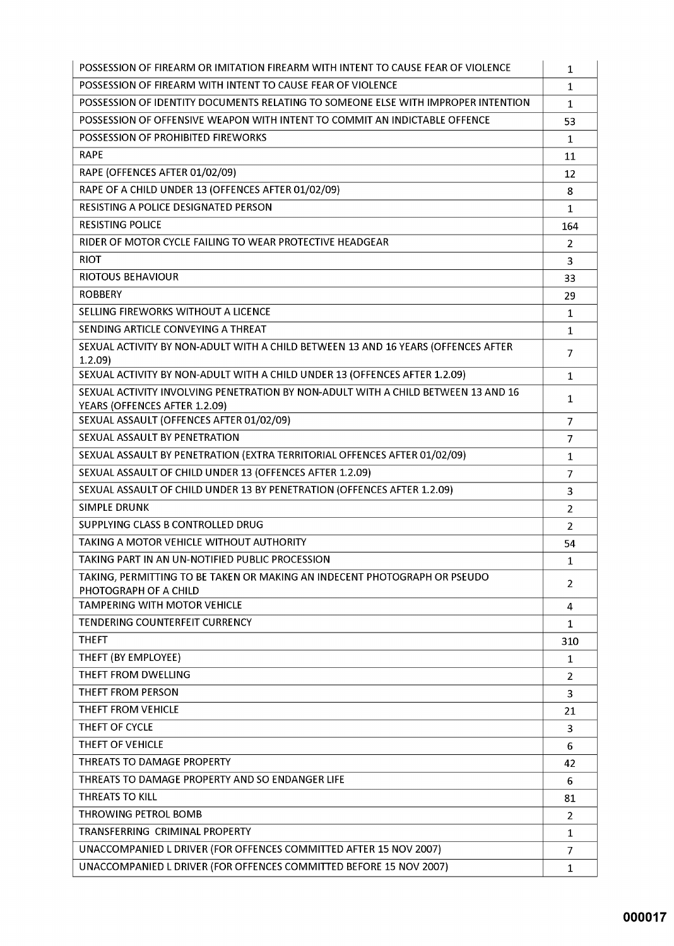| POSSESSION OF FIREARM OR IMITATION FIREARM WITH INTENT TO CAUSE FEAR OF VIOLENCE                                   | $\mathbf{1}$   |
|--------------------------------------------------------------------------------------------------------------------|----------------|
| POSSESSION OF FIREARM WITH INTENT TO CAUSE FEAR OF VIOLENCE                                                        | $\mathbf{1}$   |
| POSSESSION OF IDENTITY DOCUMENTS RELATING TO SOMEONE ELSE WITH IMPROPER INTENTION                                  | $\mathbf{1}$   |
| POSSESSION OF OFFENSIVE WEAPON WITH INTENT TO COMMIT AN INDICTABLE OFFENCE                                         | 53             |
| POSSESSION OF PROHIBITED FIREWORKS                                                                                 | $\mathbf{1}$   |
| <b>RAPE</b>                                                                                                        | 11             |
| RAPE (OFFENCES AFTER 01/02/09)                                                                                     | 12             |
| RAPE OF A CHILD UNDER 13 (OFFENCES AFTER 01/02/09)                                                                 | 8              |
| RESISTING A POLICE DESIGNATED PERSON                                                                               | $\mathbf{1}$   |
| <b>RESISTING POLICE</b>                                                                                            | 164            |
| RIDER OF MOTOR CYCLE FAILING TO WEAR PROTECTIVE HEADGEAR                                                           | 2              |
| <b>RIOT</b>                                                                                                        | 3              |
| <b>RIOTOUS BEHAVIOUR</b>                                                                                           | 33             |
| <b>ROBBERY</b>                                                                                                     | 29             |
| SELLING FIREWORKS WITHOUT A LICENCE                                                                                | $\mathbf{1}$   |
| SENDING ARTICLE CONVEYING A THREAT                                                                                 | $\mathbf{1}$   |
| SEXUAL ACTIVITY BY NON-ADULT WITH A CHILD BETWEEN 13 AND 16 YEARS (OFFENCES AFTER<br>1.2.09                        | $\overline{7}$ |
| SEXUAL ACTIVITY BY NON-ADULT WITH A CHILD UNDER 13 (OFFENCES AFTER 1.2.09)                                         | $\mathbf{1}$   |
| SEXUAL ACTIVITY INVOLVING PENETRATION BY NON-ADULT WITH A CHILD BETWEEN 13 AND 16<br>YEARS (OFFENCES AFTER 1.2.09) | 1              |
| SEXUAL ASSAULT (OFFENCES AFTER 01/02/09)                                                                           | 7              |
| SEXUAL ASSAULT BY PENETRATION                                                                                      | $\overline{7}$ |
| SEXUAL ASSAULT BY PENETRATION (EXTRA TERRITORIAL OFFENCES AFTER 01/02/09)                                          | 1              |
| SEXUAL ASSAULT OF CHILD UNDER 13 (OFFENCES AFTER 1.2.09)                                                           | 7              |
| SEXUAL ASSAULT OF CHILD UNDER 13 BY PENETRATION (OFFENCES AFTER 1.2.09)                                            | 3              |
| <b>SIMPLE DRUNK</b>                                                                                                | $\overline{2}$ |
| SUPPLYING CLASS B CONTROLLED DRUG                                                                                  | $\overline{2}$ |
| TAKING A MOTOR VEHICLE WITHOUT AUTHORITY                                                                           | 54             |
| TAKING PART IN AN UN-NOTIFIED PUBLIC PROCESSION                                                                    | 1              |
| TAKING, PERMITTING TO BE TAKEN OR MAKING AN INDECENT PHOTOGRAPH OR PSEUDO<br>PHOTOGRAPH OF A CHILD                 | 2              |
| <b>TAMPERING WITH MOTOR VEHICLE</b>                                                                                | 4              |
| <b>TENDERING COUNTERFEIT CURRENCY</b>                                                                              | 1              |
| <b>THEFT</b>                                                                                                       | 310            |
| THEFT (BY EMPLOYEE)                                                                                                | $\mathbf{1}$   |
| THEFT FROM DWELLING                                                                                                | $\overline{2}$ |
| THEFT FROM PERSON                                                                                                  | 3              |
| THEFT FROM VEHICLE                                                                                                 | 21             |
| THEFT OF CYCLE                                                                                                     | 3              |
| THEFT OF VEHICLE                                                                                                   | 6              |
| THREATS TO DAMAGE PROPERTY                                                                                         | 42             |
| THREATS TO DAMAGE PROPERTY AND SO ENDANGER LIFE                                                                    | 6              |
| <b>THREATS TO KILL</b>                                                                                             | 81             |
| THROWING PETROL BOMB                                                                                               | $\overline{2}$ |
| TRANSFERRING CRIMINAL PROPERTY                                                                                     | 1              |
| UNACCOMPANIED L DRIVER (FOR OFFENCES COMMITTED AFTER 15 NOV 2007)                                                  | $\overline{7}$ |
| UNACCOMPANIED L DRIVER (FOR OFFENCES COMMITTED BEFORE 15 NOV 2007)                                                 | $\mathbf{1}$   |